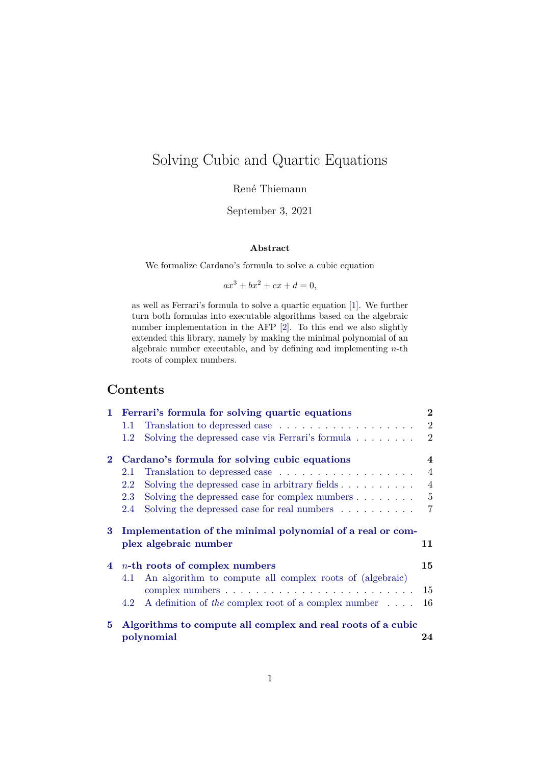# Solving Cubic and Quartic Equations

René Thiemann

September 3, 2021

#### **Abstract**

We formalize Cardano's formula to solve a cubic equation

 $ax^{3} + bx^{2} + cx + d = 0.$ 

as well as Ferrari's formula to solve a quartic equation [\[1\]](#page-34-0). We further turn both formulas into executable algorithms based on the algebraic number implementation in the AFP [\[2\]](#page-34-1). To this end we also slightly extended this library, namely by making the minimal polynomial of an algebraic number executable, and by defining and implementing  $n$ -th roots of complex numbers.

## **Contents**

| 1.       | Ferrari's formula for solving quartic equations                                     | $\bf{2}$       |
|----------|-------------------------------------------------------------------------------------|----------------|
|          | 1.1                                                                                 | $\overline{2}$ |
|          | Solving the depressed case via Ferrari's formula $\dots \dots$<br>1.2               | $\overline{2}$ |
| $\bf{2}$ | Cardano's formula for solving cubic equations                                       | 4              |
|          | Translation to depressed case<br>2.1                                                | $\overline{4}$ |
|          | 2.2<br>Solving the depressed case in arbitrary fields $\dots \dots \dots$           | $\overline{4}$ |
|          | Solving the depressed case for complex numbers $\dots \dots$<br>2.3                 | 5              |
|          | Solving the depressed case for real numbers $\dots \dots \dots$<br>2.4              | 7              |
|          |                                                                                     |                |
| 3        | Implementation of the minimal polynomial of a real or com-<br>plex algebraic number | 11             |
| 4        | $n$ -th roots of complex numbers                                                    | 15             |
|          | 4.1                                                                                 |                |
|          | An algorithm to compute all complex roots of (algebraic)                            | 15             |
|          | A definition of the complex root of a complex number $\dots$ .<br>4.2               | 16             |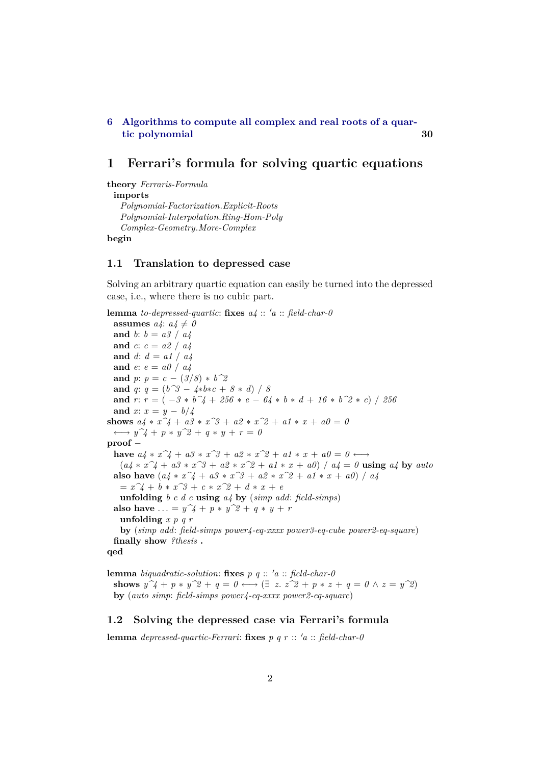#### **[6 Algorithms to compute all complex and real roots of a quar](#page-29-0)[tic polynomial](#page-29-0) 30**

### <span id="page-1-0"></span>**1 Ferrari's formula for solving quartic equations**

**theory** *Ferraris-Formula*

**imports**

*Polynomial-Factorization*.*Explicit-Roots Polynomial-Interpolation*.*Ring-Hom-Poly*

*Complex-Geometry*.*More-Complex*

**begin**

#### <span id="page-1-1"></span>**1.1 Translation to depressed case**

Solving an arbitrary quartic equation can easily be turned into the depressed case, i.e., where there is no cubic part.

**lemma** *to-depressed-quartic*: **fixes**  $a_4$  ::  $'a$  ::  $field$ -char-0 **assumes**  $a_4$ :  $a_4 \neq 0$ **and** *b*: *b* = *a3* / *a4* **and** *c*: *c* = *a2* / *a4* **and** *d*: *d* = *a1* / *a4* **and** *e*: *e* = *a0* / *a4* **and**  $p: p = c - (3/8) * b^2$ **and** *q*:  $q = (b^{\frown}3 - 4 * b * c + 8 * d) / 8$ **and**  $r: r = (-3 * b^4 + 256 * e - 64 * b * d + 16 * b^4 * c)$  / 256 **and** *x*:  $x = y - b/4$ **shows**  $a_4 * x^2 + a_3 * x^3 + a_2 * x^2 + a_1 * x + a_0 = 0$  $\longleftrightarrow y^2 + p * y^2 + q * y + r = 0$ **proof** − **have**  $a_4 * x^4 + a_3 * x^3 + a_2 * x^2 + a_1 * x + a_0 = 0$  ←→  $(a_4 * x^4 + a_3 * x^3 + a_2 * x^2 + a_1 * x + a_0) / a_4 = 0$  using  $a_4$  by *auto* **also have**  $(a_4 * x^4 + a_3 * x^3 + a_2 * x^2 + a_1 * x + a_0) / a_4$  $= x^2 + b * x^3 + c * x^2 + d * x + e$ **unfolding** *b c d e* **using** *a4* **by** (*simp add*: *field-simps*) **also have** ... =  $y^2 + p^2 + y^2 + q^2 + y^2 + r^2$ **unfolding** *x p q r* **by** (*simp add*: *field-simps power4-eq-xxxx power3-eq-cube power2-eq-square*) **finally show** *?thesis* **. qed**

**lemma** *biquadratic-solution*: **fixes**  $p$   $q$  ::  $'a$  :: *field-char-0* **shows**  $y^2 + p * y^2 + q = 0 \leftrightarrow (\exists z \cdot z^2 + p * z + q = 0 \land z = y^2)$ **by** (*auto simp*: *field-simps power4-eq-xxxx power2-eq-square*)

#### <span id="page-1-2"></span>**1.2 Solving the depressed case via Ferrari's formula**

**lemma** *depressed-quartic-Ferrari*: **fixes**  $p$   $q$   $r$  ::  $'a$  ::  $field$ -char-0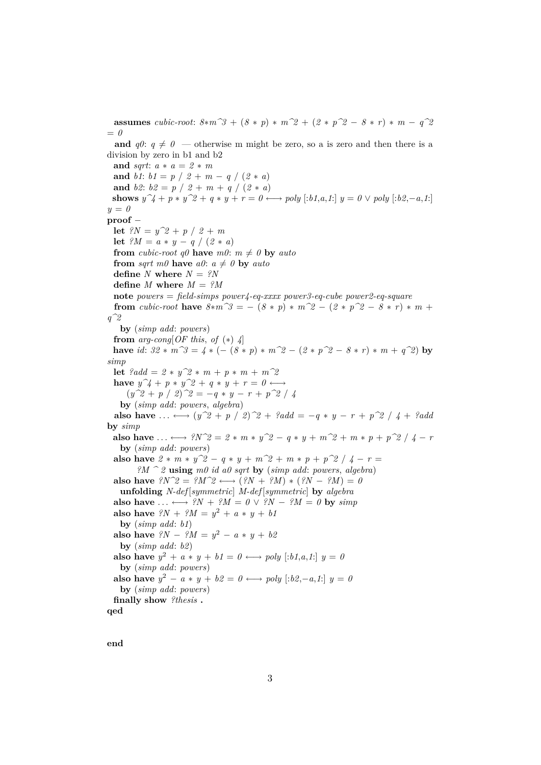**assumes** *cubic-root*:  $8 * m^3 + (8 * p) * m^2 + (2 * p^2 - 8 * r) * m - q^2$ = *0* **and**  $q0: q \neq 0$  — otherwise m might be zero, so a is zero and then there is a division by zero in b1 and b2 **and** *sqrt*: *a* ∗ *a* = *2* ∗ *m* **and** *b1*:  $b1 = p / 2 + m - q / (2 * a)$ **and** *b2*:  $b2 = p / 2 + m + q / (2 * a)$ **shows**  $y^2 + p * y^2 + q * y + r = 0 \rightarrow \text{poly}$  [:*b1*,*a*,*1*:]  $y = 0 \vee \text{poly}$  [:*b2*,−*a*,*1*:] *y* = *0* **proof** − **let**  $?N = y^2 + p / 2 + m$ **let**  ${}^{\circ}M = a * y - q / (2 * a)$ **from** *cubic-root*  $q\theta$  **have**  $m\theta$ :  $m \neq \theta$  **by** *auto* **from** *sqrt*  $m\theta$  **have**  $a\theta$ :  $a \neq \theta$  **by**  $auto$ **define** *N* **where**  $N = ?N$ **define** *M* where  $M = ?M$ **note** *powers* = *field-simps power4-eq-xxxx power3-eq-cube power2-eq-square* **from** *cubic-root* **have**  $8 * m^2 = -(8 * p) * m^2 = (2 * p^2 - 8 * r) * m +$ *q^2* **by** (*simp add*: *powers*) **from** *arg-cong*[ $OF$  *this, of*  $(*)$   $4$ ] **have** *id*:  $32 * m^2 = 4 * (-(8 * p) * m^2 - (2 * p^2 - 8 * r) * m + q^2)$  by *simp* **let**  $?add = 2 * y^2 * m + p * m + m^22$ **have**  $y^2 + p * y^2 + q * y + r = 0 \longleftrightarrow$  $(y^2 + p / 2)^2 = -q * y - r + p^2 / 4$ **by** (*simp add*: *powers*, *algebra*) **also have** ... ←→  $(y^2 + p / 2)^2 + ?add = -q * y - r + p^2 / 4 + ?add$ **by** *simp* **also have** ...  $\longleftrightarrow$  *?N^2* = 2 \* *m* \* *y*<sup>2</sup> – *q* \* *y* + *m*<sup>2</sup> + *m* \* *p* + *p*<sup>2</sup> / *4* – *r* **by** (*simp add*: *powers*) **also have**  $2 * m * y^2 - q * y + m^2 + m^2 + p^2 / 4 - r =$ *?M ^ 2* **using** *m0 id a0 sqrt* **by** (*simp add*: *powers*, *algebra*) **also have**  $\mathcal{P}N^2 = \mathcal{P}M^2 \longleftrightarrow (\mathcal{P}N + \mathcal{P}M) * (\mathcal{P}N - \mathcal{P}M) = 0$ **unfolding** *N-def* [*symmetric*] *M-def* [*symmetric*] **by** *algebra* also have  $\dots \leftrightarrow ?N + ?M = 0 \vee ?N - ?M = 0$  by  $\text{sim } p$ **also have**  ${}^{\mathcal{D}}N$  +  ${}^{\mathcal{D}}M$  =  $y^2$  +  $a * y + b1$ **by** (*simp add*: *b1*) **also have**  ${}^{\circ}N - {}^{\circ}M = y^2 - a * y + b\mathcal{Z}$ **by** (*simp add*: *b2*) **also have**  $y^2 + a * y + b1 = 0 \longleftrightarrow poly [:\textit{b1}, a, 1]$   $y = 0$ **by** (*simp add*: *powers*) **also have**  $y^2 - a * y + b\mathcal{Q} = 0 \longleftrightarrow poly [:\!b\mathcal{Q},\!-a,\!1\!:] \ y = 0$ **by** (*simp add*: *powers*) **finally show** *?thesis* **. qed**

**end**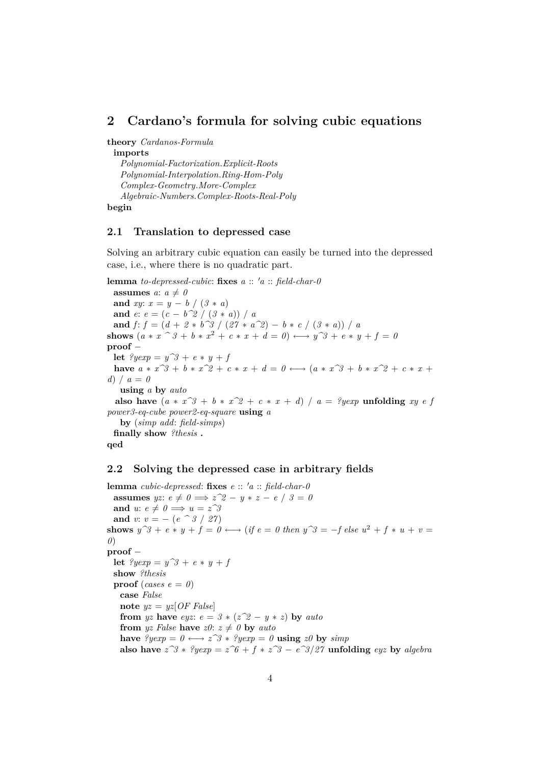### <span id="page-3-0"></span>**2 Cardano's formula for solving cubic equations**

**theory** *Cardanos-Formula*

**imports** *Polynomial-Factorization*.*Explicit-Roots Polynomial-Interpolation*.*Ring-Hom-Poly Complex-Geometry*.*More-Complex Algebraic-Numbers*.*Complex-Roots-Real-Poly* **begin**

#### <span id="page-3-1"></span>**2.1 Translation to depressed case**

Solving an arbitrary cubic equation can easily be turned into the depressed case, i.e., where there is no quadratic part.

**lemma** *to-depressed-cubic*: **fixes**  $a :: 'a :: field \cdot char-0$ **assumes**  $a: a \neq 0$ **and** *xy*:  $x = y - b / (3 * a)$ **and**  $e: e = (c - b^2)/ (3 * a) / a$ **and**  $f: f = (d + 2 * b^3) / (27 * a^2) - b * c / (3 * a) / a$ **shows**  $(a * x \, ^\circ 3 + b * x^2 + c * x + d = 0) \longleftrightarrow y^{\circ 3} + e * y + f = 0$ **proof** − **let**  $?yearp = y^3 + e * y + f$ **have**  $a * x^3 + b * x^2 + c * x + d = 0 \leftrightarrow (a * x^3 + b * x^2 + c * x + d)$ *d*) / *a* = *0* **using** *a* **by** *auto* **also have**  $(a * x^3 + b * x^2 + c * x + d)$  /  $a = ?yexp$  **unfolding**  $xy e f$ *power3-eq-cube power2-eq-square* **using** *a* **by** (*simp add*: *field-simps*) **finally show** *?thesis* **. qed**

#### <span id="page-3-2"></span>**2.2 Solving the depressed case in arbitrary fields**

**lemma** *cubic-depressed*: **fixes**  $e$  ::  $'a$  ::  $\text{field-char-0}$ **assumes** *yz*:  $e \neq 0 \implies z^2 - y * z - e / 3 = 0$ **and**  $u: e \neq 0 \implies u = z^3$ **and** *v*:  $v = -(e^{\hat{\alpha}} 3 / 27)$ **shows**  $y^3 + e^* y + f = 0 \leftrightarrow (if e = 0 \text{ then } y^3 = -f \text{ else } u^2 + f * u + v = 0$ *0*) **proof** − **let**  $?yexp = y^3 + e * y + f$ **show** *?thesis* **proof** (*cases e* =  $\theta$ ) **case** *False* **note**  $yz = yz[OF False]$ **from** *yz* **have** *eyz*:  $e = 3 * (z^2 - y * z)$  **by** *auto* **from** *yz* False **have**  $z0$ :  $z \neq 0$  **by** auto **have**  $?yexp = 0 \leftrightarrow z^3 * ?yexp = 0$  **using**  $z0$  **by**  $simp$ **also have**  $z^3$  ∗ *?yexp* =  $z^6$  +  $f * z^3$  −  $e^3$ /*27* **unfolding** *eyz* **by** *algebra*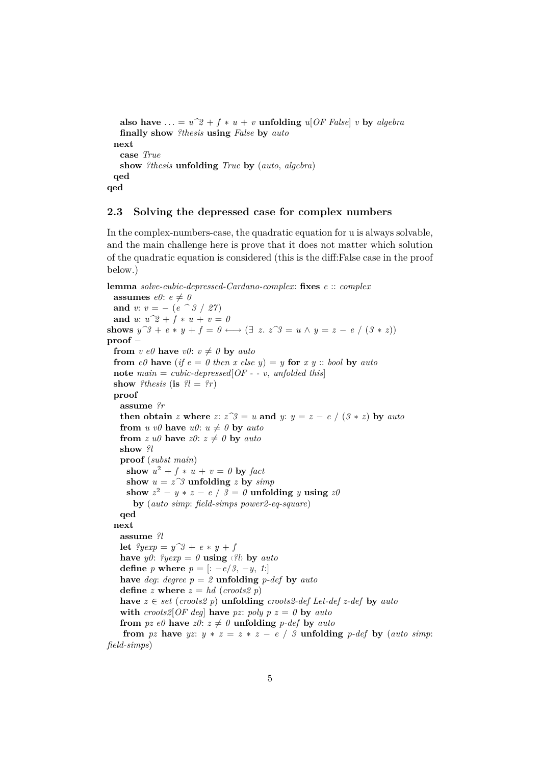**also have** ... =  $u^2 + f * u + v$  **unfolding**  $u[OF False] v$  **by** *algebra* **finally show** *?thesis* **using** *False* **by** *auto* **next case** *True* **show** *?thesis* **unfolding** *True* **by** (*auto*, *algebra*) **qed qed**

#### <span id="page-4-0"></span>**2.3 Solving the depressed case for complex numbers**

In the complex-numbers-case, the quadratic equation for u is always solvable, and the main challenge here is prove that it does not matter which solution of the quadratic equation is considered (this is the diff:False case in the proof below.)

```
lemma solve-cubic-depressed-Cardano-complex: fixes e :: complex
 assumes e0: e \neq 0and v: v = -(e^{\hat{\alpha}} 3 / 27)and u: u^2 + f * u + v = 0shows y^3 + e * y + f = 0 \leftrightarrow (\exists z. z^3 = u \land y = z - e / (3 * z))proof −
 from v \neq 0 have v0: v \neq 0 by auto
 from e\theta have (if e = \theta then x else y) = y for x y :: bool by autonote main = cubic-depressed[OF - v, unfolded this]show ?thesis (is ?l = ?r)
 proof
   assume ?r
   then obtain z where z: z^3 = u and y: y = z - e / (3 * z) by auto
   from u v\theta have u\theta: u \neq \theta by autofrom z u\theta have z\theta: z \neq \theta by autoshow ?l
   proof (subst main)
     show u^2 + f * u + v = 0 by fact
     show u = z^3 unfolding z by simp
     show z^2 - y * z - e / 3 = 0 unfolding y using z0by (auto simp: field-simps power2-eq-square)
   qed
 next
   assume ?l
   let ?yexp = y^3 + e * y + fhave y0: \sqrt[2]{y}exp = 0 using \langle \sqrt[2]{b} \rangle by auto
   define p where p = [: -e/3, -y, 1:]
   have deg: degree p = 2 unfolding p-def by autodefine z where z = hd (croots2 p)
   have z \in set (croots2 p) unfolding croots2-def Let-def z-def by auto
   with \text{cross2}[\text{OF deg}] have pz: poly p \, z = 0 by \text{auto}from pz e\theta have z\theta: z \neq \theta unfolding p-def by autofrom pz have yz: y * z = z * z - e / 3 unfolding p-def by (auto simp:
field-simps)
```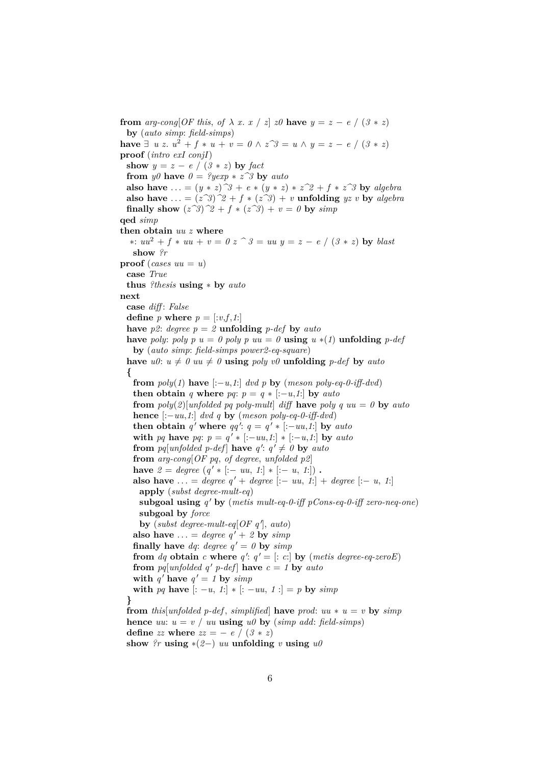**from** *arg-cong*[*OF this, of*  $\lambda$  *x. x* / *z*] *z0* **have**  $y = z - e / (3 * z)$ **by** (*auto simp*: *field-simps*) **have** ∃ *u z*.  $u^2 + f * u + v = 0 \land z^3 = u \land y = z - e / (3 * z)$ **proof** (*intro exI conjI*) **show**  $y = z - e / (3 * z)$  **by** *fact* **from** *y0* **have**  $0 = \sqrt[2]{y} \exp x + \sqrt{z^2}$  **by**  $auto$ **also have** ... =  $(y * z)^3 + e * (y * z) * z^2 + f * z^3$  by *algebra* **also have** ... =  $(z^3)^2 + f * (z^3) + v$  **unfolding**  $yz v$  **by** *algebra* **finally show**  $(z^3)^2 + f * (z^3) + v = 0$  by  $simp$ **qed** *simp* **then obtain** *uu z* **where** ∗: *uu*<sup>2</sup> + *f* ∗ *uu* + *v* = *0 z ^ 3* = *uu y* = *z* − *e* / (*3* ∗ *z*) **by** *blast* **show** *?r* **proof** (*cases uu* = *u*) **case** *True* **thus** *?thesis* **using** ∗ **by** *auto* **next case** *diff* : *False* **define** *p* **where**  $p = \lfloor v, f, 1 \rfloor$ **have**  $p2$ : *degree*  $p = 2$  **unfolding**  $p$ -*def* **by** *auto* **have** *poly*: *poly*  $p u = 0$  *poly*  $p u u = 0$  **using**  $u * (1)$  **unfolding**  $p$ -def **by** (*auto simp*: *field-simps power2-eq-square*) have  $u0: u \neq 0$   $uu \neq 0$  **using**  $poly \text{ } v0$  **unfolding**  $p\text{-}def$  by  $auto$ **{ from**  $poly(1)$  **have**  $[-u,1]$  *dvd p* **by** (*meson poly-eq-0-iff-dvd*) **then obtain** *q* **where** *pq*:  $p = q * [-u, 1]$  **by** *auto* **from**  $poly(2)[unfolded\ pq\ poly-mult\ alifif\ \nhave\ poly\ quu = 0\ \nby\ auto$ **hence**  $[-uu, 1]$  *dvd q* **by** (*meson poly-eq-0-iff-dvd*) **then obtain**  $q'$  where  $qq'$ :  $q = q' * [-uu, 1]$  by auto **with** *pq* **have** *pq*:  $p = q' * [:-uu,1!] * [-u,1!]$  **by** *auto* **from**  $pq[unfolded p-def]$  **have**  $q' : q' \neq 0$  **by**  $auto$ **from** *arg-cong*[*OF pq*, *of degree*, *unfolded p2*] **have**  $2 = degree (q' * [:- uu, 1!] * [- u, 1!]).$ **also have** ... = *degree*  $q' + degree$  [:− *uu*, *1*:] + *degree* [:− *u*, *1*:] **apply** (*subst degree-mult-eq*) **subgoal using**  $q'$  by (metis mult-eq-0-iff pCons-eq-0-iff zero-neq-one) **subgoal by** *force*  $\mathbf{by}$  (*subst degree-mult-eq*[*OF q'*], *auto*) **also have** ... = *degree*  $q' + 2$  **by**  $simp$ **finally have** *dq*: *degree*  $q' = 0$  **by** *simp* **from** *dq* **obtain** *c* **where**  $q'$ :  $q' =$  [: *c*:] **by** (*metis degree-eq-zeroE*) **from** *pq*[*unfolded q' p-def*] **have**  $c = 1$  **by** *auto* **with**  $q'$  have  $q' = 1$  by  $simp$ **with** *pq* **have**  $[-u, 1] * [-uu, 1] = p$  **by**  $simp$ **} from** *this*[*unfolded p-def, simplified*] **have** *prod*:  $uu * u = v$  **by**  $\sinh$ **hence** *uu*:  $u = v / uu$  **using**  $u\theta$  **by** (*simp add*: *field-simps*) **define** *zz* **where**  $zz = -e / (3 * z)$ show  $?r$  **using**  $*(2-)$  *uu* **unfolding** *v* **using**  $u\theta$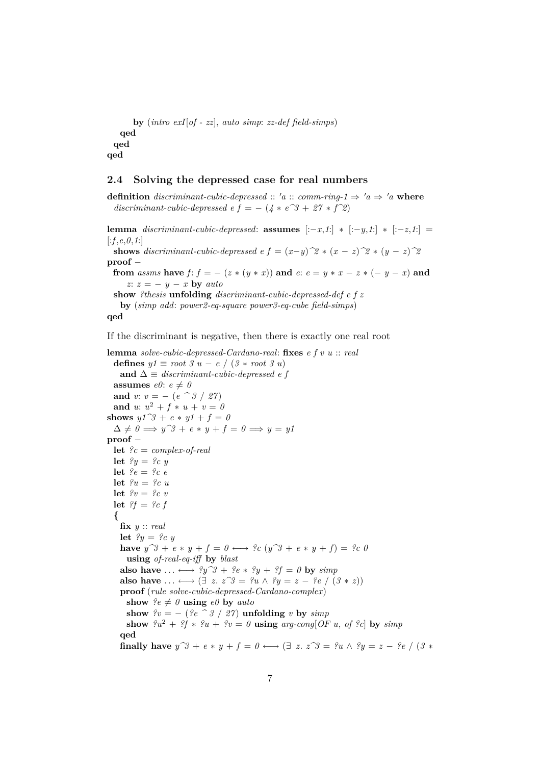```
by (intro exI[of - zz], auto simp: zz-def field-simps)
   qed
 qed
qed
```
#### <span id="page-6-0"></span>**2.4 Solving the depressed case for real numbers**

**definition** *discriminant-cubic-depressed* ::  $'a$  :: *comm-ring-1*  $\Rightarrow 'a \Rightarrow 'a$  where *discriminant-cubic-depressed e f* =  $-(4 * e^3 + 27 * f^2)$ 

**lemma** *discriminant-cubic-depressed*: **assumes**  $[-x,1] * [-y,1] * [-z,1] =$  $[:f, e, 0, 1:]$ **shows** discriminant-cubic-depressed e  $f = (x-y)^2 * (x-z)^2 * (y-z)^2$ **proof** − **from** *assms* **have**  $f$ :  $f = -(z * (y * x))$  **and**  $e: e = y * x - z * (-y - x)$  **and** *z*: *z* = − *y* − *x* **by** *auto* **show** *?thesis* **unfolding** *discriminant-cubic-depressed-def e f z* **by** (*simp add*: *power2-eq-square power3-eq-cube field-simps*) **qed** If the discriminant is negative, then there is exactly one real root **lemma** *solve-cubic-depressed-Cardano-real*: **fixes** *e f v u* :: *real* **defines**  $y1 \equiv root 3 u - e / (3 * root 3 u)$ and  $\Delta \equiv$  *discriminant-cubic-depressed e f* **assumes**  $e\theta$ :  $e \neq 0$ **and** *v*:  $v = - (e^{\hat{\theta}}/8 / 27)$ **and** *u*:  $u^2 + f * u + v = 0$ **shows**  $y1^3 + e * y1 + f = 0$  $\Delta \neq 0 \implies y^{\gamma}3 + e * y + f = 0 \implies y = y1$ **proof** − **let** *?c* = *complex-of-real* **let**  $?y = ?c y$ **let** *?e* = *?c e* **let**  $?u = ?c u$ **let** *?v* = *?c v* **let** *?f* = *?c f* **{ fix** *y* :: *real* **let**  $?y = ?c y$ **have**  $y^3 + e * y + f = 0 \leftrightarrow e^2 c$  ( $y^3 + e * y + f = e^2 c$  0 **using** *of-real-eq-iff* **by** *blast* also have  $\dots \longleftrightarrow ?y^3 + ?e * ?y + ?f = 0$  by  $\text{simp}$ also have  $\dots \longleftrightarrow (\exists z. z^{\hat{z}}) = ?u \wedge ?y = z - ?e / (3 * z)$ **proof** (*rule solve-cubic-depressed-Cardano-complex*) show  $ee \neq 0$  **using**  $e0$  by *auto* 

**show**  $?v = -$  ( $?e \, \hat{\hspace{0.3cm}} 3 / 27$ ) **unfolding** *v* **by** *simp* **show**  $2u^2 + 2f * 2u + 2v = 0$  **using**  $arg\text{-}cong[OF\ u, of\ 2c]$  by  $simp$ **qed**

**finally have**  $y^3 + e * y + f = 0 \longleftrightarrow (\exists z. z^3) = ?u \land ?y = z - ?e / (3 *$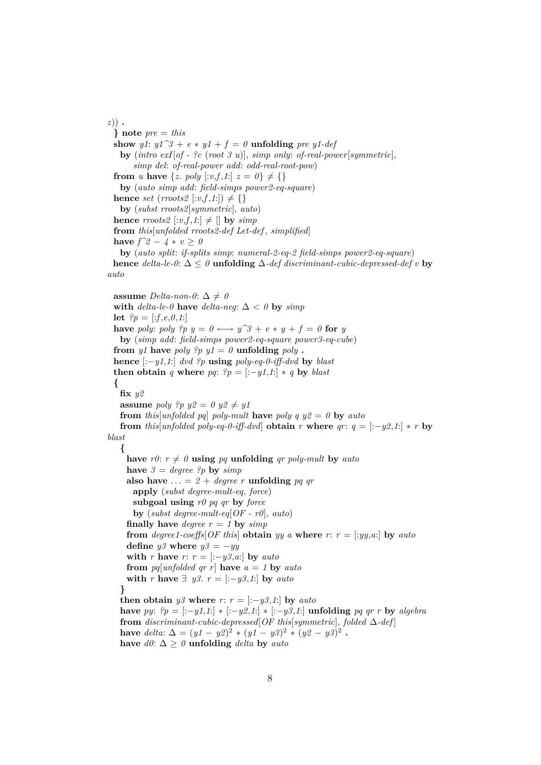*z*)) **. } note** *pre* = *this* **show** *y1*:  $y1^3 + e * y1 + f = 0$  **unfolding** *pre y1-def* **by** (*intro exI*[*of - ?c* (*root 3 u*)], *simp only*: *of-real-power*[*symmetric*], *simp del*: *of-real-power add*: *odd-real-root-pow*) **from** *u* **have** {*z*. *poly*  $[:v, f, 1:]$   $z = 0$ }  $\neq$  {} **by** (*auto simp add*: *field-simps power2-eq-square*) **hence** *set* (*rroots2* [:*v*,*f*,*1*:])  $\neq$  {} **by** (*subst rroots2*[*symmetric*], *auto*) **hence** *rroots2*  $[:v, f, 1:] \neq []$  **by** *simp* **from** *this*[*unfolded rroots2-def Let-def* , *simplified*] **have**  $f^2 2 - 4 * v \ge 0$ **by** (*auto split*: *if-splits simp*: *numeral-2-eq-2 field-simps power2-eq-square*) **hence** *delta-le-0*:  $\Delta \leq 0$  **unfolding**  $\Delta$ -*def discriminant-cubic-depressed-def v* **by** *auto*

**assume** *Delta-non-0*:  $\Delta \neq 0$ with  $delta-le-0$  have  $delta-neq$ :  $\Delta < 0$  by  $simp$ **let**  $?p = [.f, e, 0, 1]$ **have** *poly*: *poly*  $?p$   $y = 0 \leftrightarrow y^3 + e * y + f = 0$  for *y* **by** (*simp add*: *field-simps power2-eq-square power3-eq-cube*) **from**  $y1$  **have**  $poly$  ?p  $y1 = 0$  **unfolding**  $poly$ . **hence** [:−*y1*,*1*:] *dvd ?p* **using** *poly-eq-0-iff-dvd* **by** *blast* **then obtain** *q* where *pq*:  $?p = [-y1,1] * q$  **by** *blast* **{ fix** *y2* **assume** *poly*  $?p y2 = 0 y2 \neq y1$ **from** *this*[*unfolded pq*] *poly-mult* **have** *poly*  $q y2 = 0$  **by**  $auto$ **from** *this*[*unfolded poly-eq-0-iff-dvd*] **obtain**  $r$  **where**  $qr: q = [-y2, 1] * r$  **by** *blast* **{** have  $r\theta$ :  $r \neq \theta$  **using**  $pq$  **unfolding**  $qr$   $poly-mult$  **by**  $auto$ **have**  $3 = degree$  *?p* **by**  $simp$ also have  $\ldots = 2 + \text{degree } r$  unfolding *pq qr* **apply** (*subst degree-mult-eq*, *force*) **subgoal using** *r0 pq qr* **by** *force* **by** (*subst degree-mult-eq*[*OF - r0*], *auto*) **finally have** *degree*  $r = 1$  **by**  $simp$ **from** *degree1-coeffs*<sup>[ $OF$ *this*] **obtain** *yy a* where *r*: *r* = [:*yy*,*a*:] **by** *auto*</sup> **define**  $y\mathcal{S}$  **where**  $y\mathcal{S} = -y\mathcal{Y}$ **with** *r* **have** *r*:  $r = [-y3, a]$  **by** *auto* **from**  $pq[unfolded qr r]$  **have**  $a = 1$  **by**  $auto$ **with** *r* **have**  $\exists$  *y*3. *r* = [:−*y3*,*1*:] **by** *auto* **} then obtain**  $y3$  **where**  $r: r = [-y3, 1]$  **by**  $auto$ **have** *py*:  $?p = [-y1, 1] * [-y2, 1] * [-y3, 1]$  **unfolding** *pq qr r* **by** *algebra* **from** *discriminant-cubic-depressed*[*OF this*[*symmetric*], *folded* ∆*-def* ] **have** *delta*:  $\Delta = (y1 - y2)^2 * (y1 - y3)^2 * (y2 - y3)^2$ . have  $d\theta$ : ∆ ≥  $\theta$  **unfolding** *delta* **by** *auto*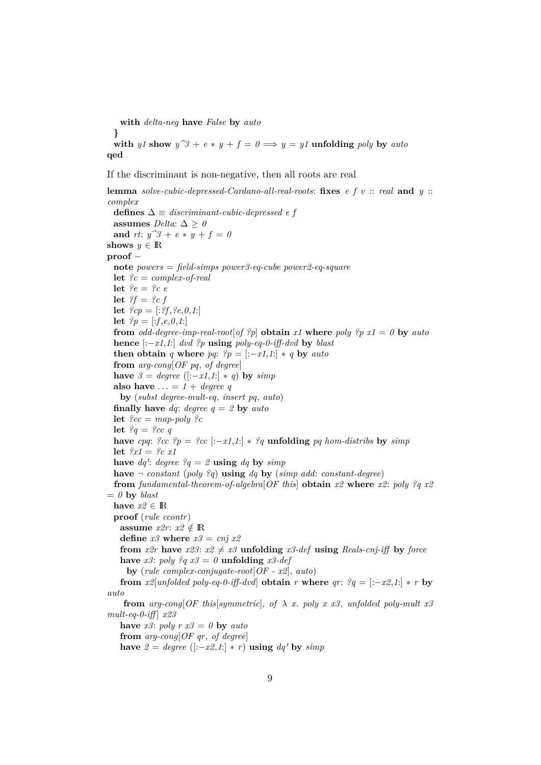**with** *delta-neg* **have** *False* **by** *auto* **} with** *y1* **show**  $y^3 + e * y + f = 0 \implies y = y1$  **unfolding** *poly* **by** *auto* **qed**

If the discriminant is non-negative, then all roots are real

**lemma** *solve-cubic-depressed-Cardano-all-real-roots*: **fixes** *e f v* :: *real* **and** *y* :: *complex* **defines** ∆ ≡ *discriminant-cubic-depressed e f* assumes *Delta*:  $\Delta \geq 0$ **and** *rt*:  $y^2 + e * y + f = 0$ **shows**  $y \in \mathbb{R}$ **proof** − **note** *powers* = *field-simps power3-eq-cube power2-eq-square* **let** *?c* = *complex-of-real* **let** *?e* = *?c e* **let** *?f* = *?c f* **let**  $?cp = [.?f, ?e, 0, 1.]$ **let**  $?p = [.f, e, 0, 1]$ **from** *odd-degree-imp-real-root*[*of ?p*] **obtain**  $x1$  **where**  $poly$  *?p*  $x1 = 0$  **by**  $auto$ **hence** [:−*x1*,*1*:] *dvd ?p* **using** *poly-eq-0-iff-dvd* **by** *blast* **then obtain** *q* **where** *pq*:  $?p = [-x1,1] * q$  **by** *auto* **from** *arg-cong*[*OF pq*, *of degree*] **have**  $3 = degree$  ([:−*x1*,*1*:]  $*$  *q*) **by** *simp* **also have**  $\ldots = 1 + \text{degree } q$ **by** (*subst degree-mult-eq*, *insert pq*, *auto*) **finally have** *dq*: *degree q* = *2* **by** *auto* **let** *?cc* = *map-poly ?c* **let**  $?q = ?cc q$ **have** *cpq*:  $\partial$ *cc*  $\partial$ *p* =  $\partial$ *cc* [:-*x1,1*:] \*  $\partial$ *q* **unfolding** *pq hom-distribs* **by** *simp* **let** *?x1* = *?c x1* have  $dq'$ : *degree*  $?q = 2$  **using**  $dq$  by  $simp$ **have**  $\neg$  *constant* (*poly ?q*) **using** *dq* **by** (*simp add: constant-degree*) **from** *fundamental-theorem-of-algebra*[*OF this*] **obtain** *x2* **where** *x2*: *poly ?q x2*  $= 0$  **by** *blast* **have**  $x2 \in \mathbb{R}$ **proof** (*rule ccontr*) **assume**  $x2r: x2 \notin \mathbb{R}$ **define**  $x3$  **where**  $x3 = cnj x2$ **from** *x2r* **have** *x23*:  $x2 \neq x3$  **unfolding** *x3-def* **using** *Reals-cnj-iff* **by** *force* **have**  $x3$ :  $poly$   $?q$   $x3 = 0$  **unfolding**  $x3$ -def **by** (*rule complex-conjugate-root*[*OF - x2*], *auto*) **from**  $x2$ [*unfolded poly-eq-0-iff-dvd*] **obtain**  $r$  **where**  $qr$ :  $?q = [-x2, 1] * r$  **by** *auto* **from**  $arg\text{-}cong[OF this|symmetric], of \lambda x. poly x x3, unfolded poly-mult x3]$ *mult-eq-0-iff* ] *x23* **have**  $x3$ :  $poly \, r \, x3 = 0$  **by**  $auto$ **from** *arg-cong*[*OF qr*, *of degree*] **have**  $2 = degree$  ([:−*x2,1*:] \* *r*) **using**  $dq'$  **by**  $simp$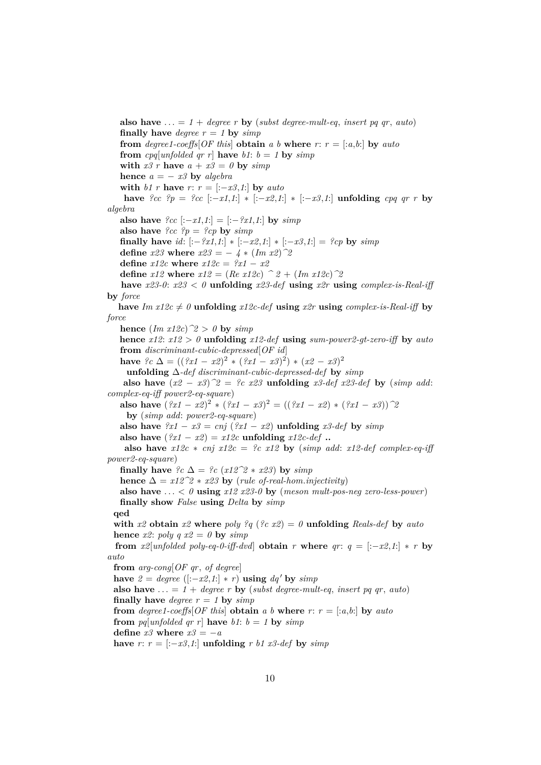**also have**  $\ldots = 1 + \text{degree } r$  **by** (*subst degree-mult-eq, insert pq qr, auto*) **finally have** *degree*  $r = 1$  **by**  $simp$ **from** *degree1-coeffs*<sup>[ $\overline{OF}$  *this*] **obtain** *a b* **where**  $r: r = [.a, b:]$  **by** *auto*</sup> **from** cpq[unfolded qr r] **have** b1:  $b = 1$  **by**  $simp$ with  $x3 r$  have  $a + x3 = 0$  by  $simp$ **hence**  $a = -x^3$  **by** *algebra* **with** *b1 r* **have** *r*:  $r = [-x3, 1]$  **by** *auto* **have**  $\frac{9}{2}$ cc  $\frac{9}{2}$  =  $\frac{9}{2}$ cc  $[-x1,1]$  ∗  $[-x2,1]$  ∗  $[-x3,1]$  **unfolding** *cpq qr r* **by** *algebra* **also have**  $?cc$  [:−*x1*,*1*:] = [:−*?x1*,*1*:] **by**  $simp$ **also have**  $\{cc\ }_{\mathcal{P}} = \{cp\ }_{\mathcal{C}}$  by  $\text{sim}{}_{\mathcal{P}}$ **finally have** *id*:  $[-?x1,1] * [-x2,1] * [-x3,1] = ?cp$  **by** *simp* **define**  $x23$  **where**  $x23 = -4 * (Im x2)^2$ **define**  $x12c$  **where**  $x12c = ?x1 - x2$ **define**  $x12$  **where**  $x12 = (Re \ x12c)$   $\hat{ }$   $2 + (Im \ x12c)$   $\hat{ }$   $2$ **have**  $x23-0$ :  $x23 < 0$  **unfolding**  $x23-def$  **using**  $x2r$  **using** *complex-is-Real-iff* **by** *force* have  $Im(z) \neq 0$  **unfolding**  $x12c$ -def **using**  $x2r$  **using**  $complex-is-Real-iff$  **by** *force* **hence**  $(Im x12c)$ <sup>2</sup> > 0 **by**  $simp$ **hence** *x12*: *x12* > *0* **unfolding** *x12-def* **using** *sum-power2-gt-zero-iff* **by** *auto* **from** *discriminant-cubic-depressed*[*OF id*] **have**  $\oint c \Delta = ((\oint x1 - x2)^2 * (\oint x1 - x3)^2) * (x2 - x3)^2$ **unfolding** ∆*-def discriminant-cubic-depressed-def* **by** *simp* **also have**  $(x2 - x3)^2 = ?c$  *x23* **unfolding** *x3-def x23-def* **by** (*simp add*: *complex-eq-iff power2-eq-square*) **also have**  $(2x1 - x2)^2 * (2x1 - x3)^2 = ((2x1 - x2) * (2x1 - x3))^2$ **by** (*simp add*: *power2-eq-square*) **also have**  $\partial x_1 - x_2 = cnj$  ( $\partial x_1 - x_2$ ) **unfolding**  $x_2$ -def by  $\sinh x$ **also have**  $(2x1 - x2) = x12c$  **unfolding**  $x12c-def$  **.. also have**  $x12c * cnj$   $x12c = ?c$   $x12$  **by** (*simp add: x12-def complex-eq-iff power2-eq-square*) **finally have**  $?c \Delta = ?c$  ( $x12^2 * x23$ ) **by**  $simp$ **hence**  $\Delta = x12^2 * x23$  **by** (*rule of-real-hom.injectivity*) **also have**  $\ldots < 0$  **using**  $x12 \, x23.0$  **by** (*meson mult-pos-neg zero-less-power*) **finally show** *False* **using** *Delta* **by** *simp* **qed with**  $x^2$  **obtain**  $x^2$  **where**  $poly$   $^2q$  ( $^2c$   $x^2$ ) = 0 **unfolding** Reals-def **by** auto **hence**  $x2$ :  $poly q x2 = 0$  **by**  $simp$ **from**  $x2[unfolded poly-eq-0-iff-dvd]$  **obtain**  $r$  **where**  $qr: q = [-x2, 1] * r$  **by** *auto* **from** *arg-cong*[*OF qr*, *of degree*] **have**  $2 = degree ([:-x2,1:]+r)$  **using**  $dq'$  **by**  $simp$ **also have**  $\ldots = 1 + \text{degree } r$  **by** (*subst degree-mult-eq, insert pq qr, auto*) **finally have** *degree*  $r = 1$  **by**  $simp$ **from** *degree1-coeffs*<sup>[ $OF$ </sup>*this*] **obtain** *a b* **where**  $r: r = [.a, b:]$  **by**  $auto$ **from** *pg*[*unfolded gr r*] **have**  $b1$ :  $b = 1$  **by**  $simp$ **define**  $x3$  **where**  $x3 = -a$ **have** *r*:  $r =$  [:−*x3*,*1*:] **unfolding**  $r$  *b1 x3-def* by *simp*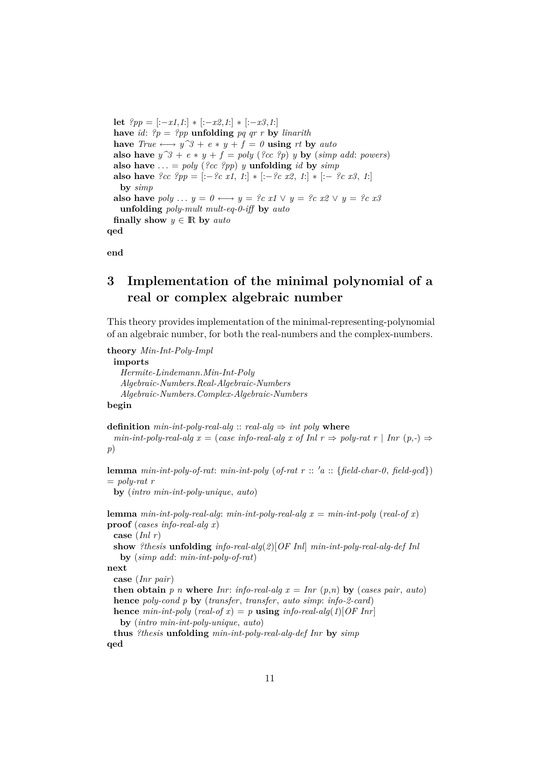**let**  $?pp = [-x1,1] * [-x2,1] * [-x3,1]$ have *id*:  $?p = ?pp$  **unfolding** *pq qr r* **by** *linarith* **have**  $True \longleftrightarrow y^{\hat{}}3 + e * y + f = 0$  **using** *rt* **by** *auto* **also have**  $y^3 + e * y + f = poly(\lbrace e, e \rbrace^2) y$  **by** (*simp add: powers*) also have  $\ldots = poly(\sqrt{2c} \cdot \sqrt{2p})$  *y* **unfolding** *id* by *simp* **also have**  $\{cc \; \text{?pp} = [-\text{?c } x1, 1] * [-\text{?c } x2, 1] * [-\text{?c } x3, 1]$ **by** *simp* **also have** *poly* ...  $y = 0 \leftrightarrow y = ?c$  *x1*  $\vee$   $y = ?c$  *x2*  $\vee$   $y = ?c$  *x3* **unfolding** *poly-mult mult-eq-0-iff* **by** *auto* **finally show**  $y \in \mathbb{R}$  by *auto* **qed**

**end**

# <span id="page-10-0"></span>**3 Implementation of the minimal polynomial of a real or complex algebraic number**

This theory provides implementation of the minimal-representing-polynomial of an algebraic number, for both the real-numbers and the complex-numbers.

**theory** *Min-Int-Poly-Impl* **imports** *Hermite-Lindemann*.*Min-Int-Poly Algebraic-Numbers*.*Real-Algebraic-Numbers Algebraic-Numbers*.*Complex-Algebraic-Numbers* **begin**

**definition**  $min-int-poly-real-alg$  ::  $real-alg \Rightarrow int poly$  where *min-int-poly-real-alg x* = (*case info-real-alg x of Inl r*  $\Rightarrow$  *poly-rat r* | *Inr* (*p*,-)  $\Rightarrow$ *p*) **lemma**  $min\text{-}int\text{-}poly\text{-}of\text{-}rat: min\text{-}int\text{-}poly$  ( $of\text{-}rat$   $r$  :: ' $a$  :: { $field\text{-}char\text{-}0$ ,  $field\text{-}gcd$ })  $=$  *poly-rat*  $r$ **by** (*intro min-int-poly-unique*, *auto*) **lemma**  $min-int-poly-real-alg: min-int-poly-real-alg x = min-int-poly (real-of x)$ 

**proof** (*cases info-real-alg x*) **case** (*Inl r*) **show** *?thesis* **unfolding** *info-real-alg*(*2*)[*OF Inl*] *min-int-poly-real-alg-def Inl* **by** (*simp add*: *min-int-poly-of-rat*) **next case** (*Inr pair*) **then obtain**  $p$  *n* where *Inr*: *info-real-alg*  $x = \text{Inr}(p,n)$  by (*cases pair*, *auto*) **hence** *poly-cond p* **by** (*transfer*, *transfer*, *auto simp*: *info-2-card*) **hence**  $min-int-poly$  (*real-of x*) = *p* **using**  $info-real-alg(1)[OFInr]$ **by** (*intro min-int-poly-unique*, *auto*) **thus** *?thesis* **unfolding** *min-int-poly-real-alg-def Inr* **by** *simp* **qed**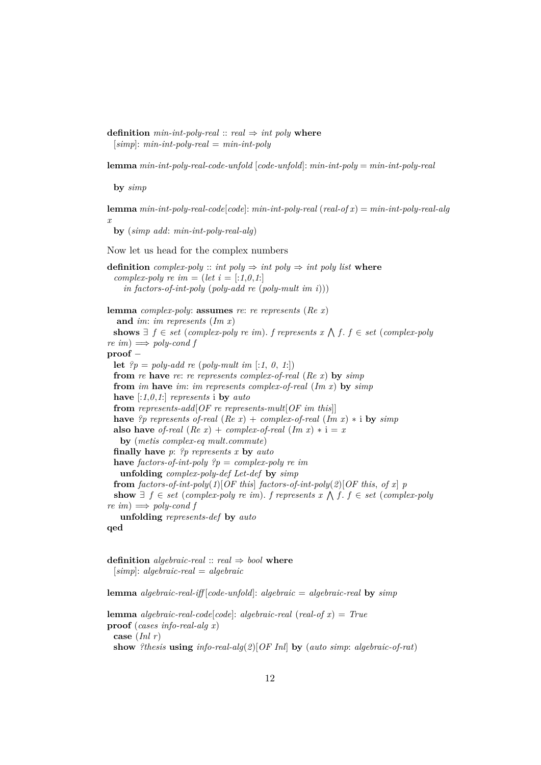**definition**  $min-int-poly-real:: real \Rightarrow int poly$  **where** [*simp*]: *min-int-poly-real* = *min-int-poly*

**lemma** *min-int-poly-real-code-unfold* [*code-unfold*]: *min-int-poly* = *min-int-poly-real*

**by** *simp*

**lemma** *min-int-poly-real-code*[*code*]: *min-int-poly-real* (*real-of x*) = *min-int-poly-real-alg x*

**by** (*simp add*: *min-int-poly-real-alg*)

Now let us head for the complex numbers

```
definition complex-poly :: int poly \Rightarrow int poly \Rightarrow int poly list where
 complex-poly re im = (let i = [:1,0,1:]
    in factors-of-int-poly (poly-add re (poly-mult im i)))
lemma complex-poly: assumes re: re represents (Re x)
  and im: im represents (Im x)
 shows ∃ f ∈ set (complex-poly re im). f represents x ∧ f. f ∈ set (complex-poly)re\,im) \Longrightarrow poly-cond fproof −
 let ?p = poly-add re (poly-mult im[:1, 0, 1))from re have re: re represents complex-of-real (Re x) by simp
 from im have im: im represents complex-of-real (Im x) by simp
 have [:1,0,1:] represents i by auto
 from represents-add[OF re represents-mult[OF im this]]
 have ?p represents of-real (Re\ x) + complex-of-real (Im\ x) * i by simpalso have of-real (Re x) + complex-of-real (Im x) * i = xby (metis complex-eq mult.commute)
 finally have p: ?p represents x by auto
 have factors-of-int-poly ?p = complex-poly re im
   unfolding complex-poly-def Let-def by simp
 from factors-of-int-poly(1)[OF this] factors-of-int-poly(2)[OF this, of x] p
  show ∃ f ∈ set (complex-poly re im). f represents x ∧ f. f ∈ set (complex-poly)re\,im) \Longrightarrow poly-cond funfolding represents-def by auto
qed
```
**definition** *algebraic-real* ::  $real \Rightarrow bool$  **where** [*simp*]: *algebraic-real* = *algebraic*

**lemma** *algebraic-real-iff* [*code-unfold*]: *algebraic* = *algebraic-real* **by** *simp*

```
lemma algebraic-real-code[code]: algebraic-real (real-of x) = True
proof (cases info-real-alg x)
 case (Inl r)
 show ?thesis using info-real-alg(2)[OF Inl] by (auto simp: algebraic-of-rat)
```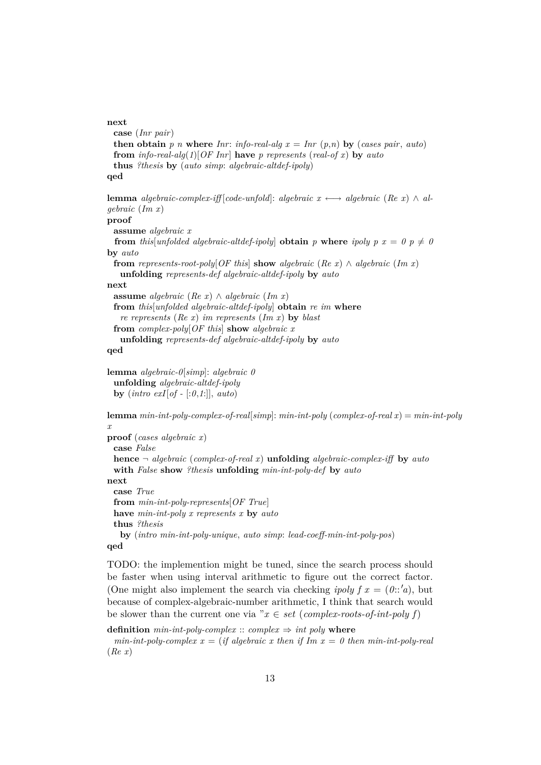```
next
```

```
case (Inr pair)
 then obtain p n where Inr: info-real-alg x = \text{Inr}(p,n) by (cases pair, auto)
 from info-real-alg(1)[OF Inr] have p represents (real-of x) by auto
 thus ?thesis by (auto simp: algebraic-altdef-ipoly)
qed
```
**lemma** *algebraic-complex-iff* [*code-unfold*]: *algebraic*  $x \leftrightarrow$  *algebraic* (*Re x*)  $\land$  *algebraic* (*Im x*) **proof assume** *algebraic x* **from** this unfolded algebraic-altdef-ipoly **obtain**  $p$  where ipoly  $p x = 0 p \neq 0$ **by** *auto* **from** *represents-root-poly*[*OF this*] **show** *algebraic* (*Re x*)  $\land$  *algebraic* (*Im x*) **unfolding** *represents-def algebraic-altdef-ipoly* **by** *auto* **next assume** *algebraic* (*Re x*) ∧ *algebraic* (*Im x*) **from** *this*[*unfolded algebraic-altdef-ipoly*] **obtain** *re im* **where** *re represents* (*Re x*) *im represents* (*Im x*) **by** *blast* **from** *complex-poly*[*OF this*] **show** *algebraic x* **unfolding** *represents-def algebraic-altdef-ipoly* **by** *auto* **qed**

**lemma** *algebraic-0*[*simp*]: *algebraic 0* **unfolding** *algebraic-altdef-ipoly* **by** (*intro exI*[*of -* [:*0*,*1*:]], *auto*)

**lemma** *min-int-poly-complex-of-real*[*simp*]: *min-int-poly* (*complex-of-real x*) = *min-int-poly x*

```
proof (cases algebraic x)
 case False
 hence ¬ algebraic (complex-of-real x) unfolding algebraic-complex-iff by auto
 with False show ?thesis unfolding min-int-poly-def by auto
next
 case True
 from min-int-poly-represents[OF True]
 have min-int-poly x represents x by auto
 thus ?thesis
   by (intro min-int-poly-unique, auto simp: lead-coeff-min-int-poly-pos)
```
**qed**

TODO: the implemention might be tuned, since the search process should be faster when using interval arithmetic to figure out the correct factor. (One might also implement the search via checking *ipoly f*  $x = (0::'a)$ , but because of complex-algebraic-number arithmetic, I think that search would be slower than the current one via " $x \in set$  (*complex-roots-of-int-poly f*)

**definition**  $min\text{-}int\text{-}poly\text{-}complex :: complex \Rightarrow int\text{-}poly$  **where** 

 $min-int-poly-complex x = (if algebraic x then if Im x = 0 then min-int-poly-real$ (*Re x*)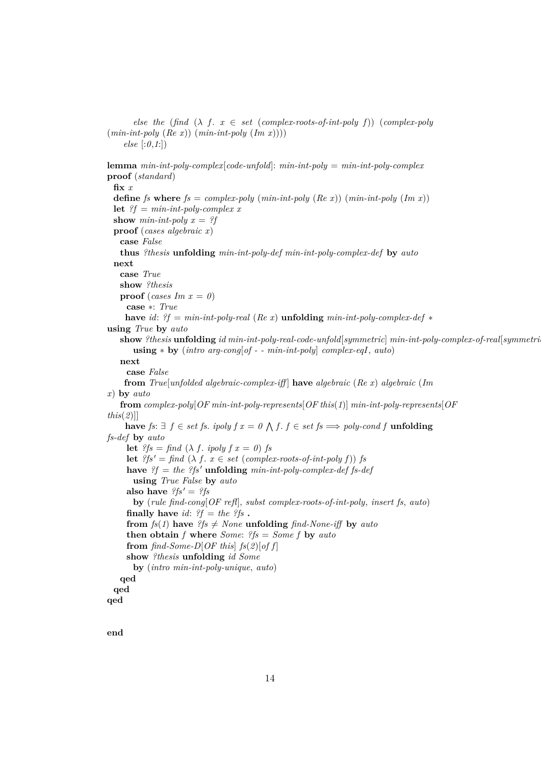*else the* (*find*  $(\lambda f. x \in set (complex-roots-of-int-poly f))$  (*complex-poly* (*min-int-poly* (*Re x*)) (*min-int-poly* (*Im x*)))) *else* [:*0*,*1*:]) **lemma** *min-int-poly-complex*[*code-unfold*]: *min-int-poly* = *min-int-poly-complex* **proof** (*standard*) **fix** *x* **define** *fs* where  $fs = complex-poly$  (*min-int-poly* (*Re x*)) (*min-int-poly* (*Im x*)) **let**  $?f = min-int-poly-complex x$ **show**  $min-int-poly x = ?f$ **proof** (*cases algebraic x*) **case** *False* **thus** *?thesis* **unfolding** *min-int-poly-def min-int-poly-complex-def* **by** *auto* **next case** *True* **show** *?thesis* **proof** (*cases Im x = 0*) **case** ∗: *True* **have** *id*: *?f* = *min-int-poly-real* (*Re x*) **unfolding** *min-int-poly-complex-def* ∗ **using** *True* **by** *auto* **show** *?thesis* **unfolding** *id min-int-poly-real-code-unfold*[*symmetric*] *min-int-poly-complex-of-real*[*symmetric*] **using** ∗ **by** (*intro arg-cong*[*of - - min-int-poly*] *complex-eqI*, *auto*) **next case** *False* **from** *True*[*unfolded algebraic-complex-iff* ] **have** *algebraic* (*Re x*) *algebraic* (*Im x*) **by** *auto* **from** *complex-poly*[*OF min-int-poly-represents*[*OF this*(*1*)] *min-int-poly-represents*[*OF this*(*2*)]] **have**  $fs: ∃ f ∈ set fs$ .  $ipoly f x = 0 ∛ f$ .  $f ∈ set fs ⇒ polycond f$  **unfolding** *fs-def* **by** *auto* **let**  $?fs = find (\lambda f \cdot i \cdot poly f \cdot x = 0)$  *fs* **let**  $?fs' = \text{find } (\lambda \text{ } f \text{ } x \in \text{set } (\text{complex-roots-of-int-poly } f))$  *fs* **have**  $?f = the$   $?fs'$ **unfolding**  $min-int-poly-complex-def$  *fs-def* **using** *True False* **by** *auto* **also have**  $?fs' = ?fs$ **by** (*rule find-cong*[*OF refl*], *subst complex-roots-of-int-poly*, *insert fs*, *auto*) **finally have** *id*:  $?f = the$   $?fs$  **. from**  $fs(1)$  **have**  $?fs \neq None$  **unfolding**  $find\text{-}None\text{-}iff$  **by**  $auto$ **then obtain** *f* **where** *Some*: *?fs* = *Some f* **by** *auto* **from**  $\int$ *find-Some-D*[*OF this*]  $f$ *s*( $2$ )[*of f*] **show** *?thesis* **unfolding** *id Some* **by** (*intro min-int-poly-unique*, *auto*) **qed qed qed**

**end**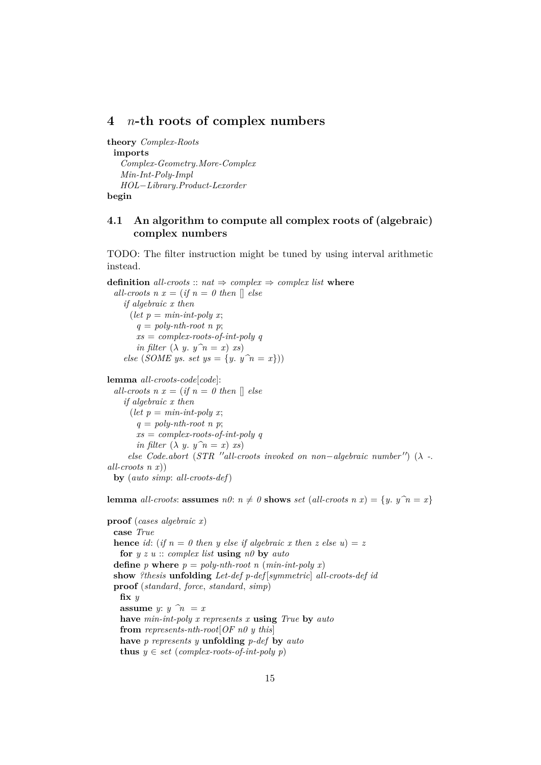### <span id="page-14-0"></span>**4** n**-th roots of complex numbers**

**theory** *Complex-Roots* **imports** *Complex-Geometry*.*More-Complex Min-Int-Poly-Impl HOL*−*Library*.*Product-Lexorder* **begin**

### <span id="page-14-1"></span>**4.1 An algorithm to compute all complex roots of (algebraic) complex numbers**

TODO: The filter instruction might be tuned by using interval arithmetic instead.

**definition** *all-croots* ::  $nat \Rightarrow complex \Rightarrow complex$  *list* **where** *all-croots*  $n x = (if n = 0 then [] else$ *if algebraic x then*  $(\text{let } p = \text{min-int-poly } x;$  $q = poly-nth-root$  *n p*; *xs* = *complex-roots-of-int-poly q in filter*  $(\lambda y. y^n = x)$  *xs*) *else* (*SOME ys. set ys* = {*y. y* $n = x$ })) **lemma** *all-croots-code*[*code*]: *all-croots*  $n x = (if n = 0 then$  [] else *if algebraic x then*  $(\text{let } p = \text{min-int-poly } x;$  $q = poly-nth-root$  *n p*; *xs* = *complex-roots-of-int-poly q in filter*  $(\lambda y. y^n = x)$  *xs*) *else Code.abort* (*STR* "*all-croots invoked on non*−*algebraic number*") ( $\lambda$  -. *all-croots n x*)) **by** (*auto simp*: *all-croots-def*) **lemma** *all-croots*: **assumes**  $n\theta$ :  $n \neq \theta$  **shows** *set* (*all-croots*  $n x$ ) = {*y*.  $y \hat{n} = x$ } **proof** (*cases algebraic x*) **case** *True* **hence** *id*: (*if*  $n = 0$  *then v else if algebraic x then z else u*) = *z* **for** *y z u* :: *complex list* **using** *n0* **by** *auto* **define** *p* **where**  $p = poly-nth-root n (min-int-poly x)$ 

**show** *?thesis* **unfolding** *Let-def p-def* [*symmetric*] *all-croots-def id*

**proof** (*standard*, *force*, *standard*, *simp*)

**assume** *y*:  $y \hat{n} = x$ 

**fix** *y*

**have** *min-int-poly x represents x* **using** *True* **by** *auto* **from** *represents-nth-root*[*OF n0 y this*]

**have** *p represents y* **unfolding** *p-def* **by** *auto*

**thus**  $y \in set$  (*complex-roots-of-int-poly p*)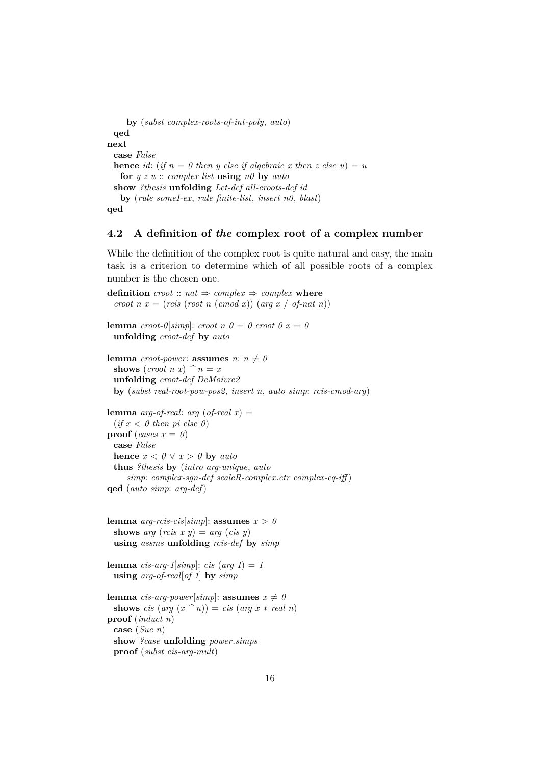```
by (subst complex-roots-of-int-poly, auto)
 qed
next
 case False
 hence id: (if n = 0 then y else if algebraic x then z else u) = ufor y z u :: complex list using n0 by auto
 show ?thesis unfolding Let-def all-croots-def id
   by (rule someI-ex, rule finite-list, insert n0, blast)
qed
```
#### <span id="page-15-0"></span>**4.2 A definition of** *the* **complex root of a complex number**

While the definition of the complex root is quite natural and easy, the main task is a criterion to determine which of all possible roots of a complex number is the chosen one.

**definition**  $\text{croot} :: \text{nat} \Rightarrow \text{complex} \Rightarrow \text{complex}$  where *croot n x* = (*rcis* (*root n* (*cmod x*)) (*arg x* / *of-nat n*)) **lemma** *croot-0*[*simp*]: *croot n 0* = 0 *croot 0 x* = 0 **unfolding** *croot-def* **by** *auto* **lemma** *croot-power*: **assumes**  $n: n \neq 0$ **shows** (*croot n x*)  $\hat{a}$  *n* = *x* **unfolding** *croot-def DeMoivre2* **by** (*subst real-root-pow-pos2*, *insert n*, *auto simp*: *rcis-cmod-arg*) **lemma** *arg-of-real*: *arg* (*of-real x*) =  $(if x < 0 then pi else 0)$ **proof** (*cases*  $x = 0$ ) **case** *False* **hence**  $x < \theta \lor x > \theta$  **by** *auto* **thus** *?thesis* **by** (*intro arg-unique*, *auto simp*: *complex-sgn-def scaleR-complex*.*ctr complex-eq-iff* ) **qed** (*auto simp*: *arg-def*) **lemma**  $\arg\text{-rcis-cis}[\text{simp}]$ : **assumes**  $x > 0$ **shows**  $arg (ris x y) = arg (cis y)$ **using** *assms* **unfolding** *rcis-def* **by** *simp* **lemma** *cis-arg-1*[*simp*]: *cis* (*arg 1*) = 1 **using** *arg-of-real*[*of 1*] **by** *simp* **lemma** *cis-arg-power*[*simp*]: **assumes**  $x \neq 0$ **shows** *cis* (*arg*  $(x \cap n)$ ) = *cis* (*arg*  $x * real n$ ) **proof** (*induct n*) **case** (*Suc n*) **show** *?case* **unfolding** *power*.*simps* **proof** (*subst cis-arg-mult*)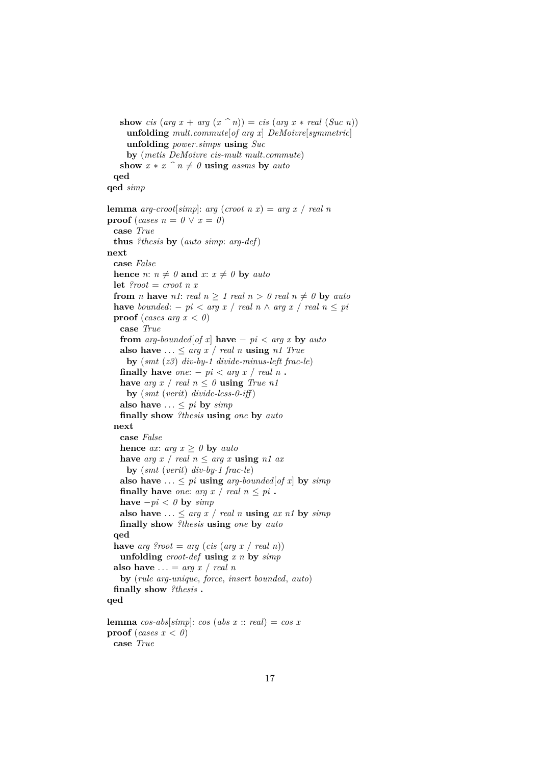**show** *cis* (*arg*  $x + arg(x \nightharpoonup n) = cis (arg x * real (Suc n))$ **unfolding** *mult*.*commute*[*of arg x*] *DeMoivre*[*symmetric*] **unfolding** *power*.*simps* **using** *Suc* **by** (*metis DeMoivre cis-mult mult*.*commute*) **show**  $x * x \, \hat{i} + \theta$  **using** *assms* **by** *auto* **qed qed** *simp* **lemma** *arg-croot*[*simp*]: *arg* (*croot n x*) = *arg x* / *real n* **proof** (*cases*  $n = 0 \lor x = 0$ ) **case** *True* **thus** *?thesis* **by** (*auto simp*: *arg-def*) **next case** *False* **hence** *n*:  $n \neq 0$  **and** *x*:  $x \neq 0$  **by** *auto* **let**  $\text{Proof} = \text{croot} \, n \, x$ **from** *n* **have** *n1*: *real*  $n \ge 1$  *real*  $n > 0$  *real*  $n \ne 0$  **by** *auto* **have** *bounded*:  $- p i < arg x / real n \wedge arg x / real n \leq pi$ **proof** (*cases arg*  $x < 0$ ) **case** *True* **from**  $arg-bounded[of x]$  **have** −  $pi < arg x$  **by**  $auto$ also have  $\ldots \leq arg x / real n$  **using** *n1 True* **by** (*smt* (*z3*) *div-by-1 divide-minus-left frac-le*) **finally have**  $one: -pi < arg x / real n$ . **have** *arg*  $x / real n \leq \theta$  **using** *True n1* **by** (*smt* (*verit*) *divide-less-0-iff* ) also have  $\ldots \leq pi$  by  $\text{simp}$ **finally show** *?thesis* **using** *one* **by** *auto* **next case** *False* **hence** *ax*:  $arg x \geq 0$  **by**  $auto$ **have** *arg*  $x$  / *real*  $n \leq arg x$  **using**  $n1$  *ax* **by** (*smt* (*verit*) *div-by-1 frac-le*) also have  $\ldots \leq pi$  **using**  $arg-bounded[of x]$  by  $simp$ **finally have** *one*: *arg*  $x$  / *real*  $n \leq pi$ . **have**  $-pi < 0$  **by**  $simp$ also have  $\ldots \leq arg\ x \mid real\ n$  **using**  $ax\ n1$  by  $simp$ **finally show** *?thesis* **using** *one* **by** *auto* **qed have** *arg ?root* = *arg* (*cis* (*arg x* / *real n*)) **unfolding** *croot-def* **using** *x n* **by** *simp* **also have**  $\ldots$  = *arg x* / *real n* **by** (*rule arg-unique*, *force*, *insert bounded*, *auto*) **finally show** *?thesis* **. qed lemma**  $cos-abs[simp]$ :  $cos(abs x :: real) = cos x$ **proof** (*cases*  $x < 0$ )

**case** *True*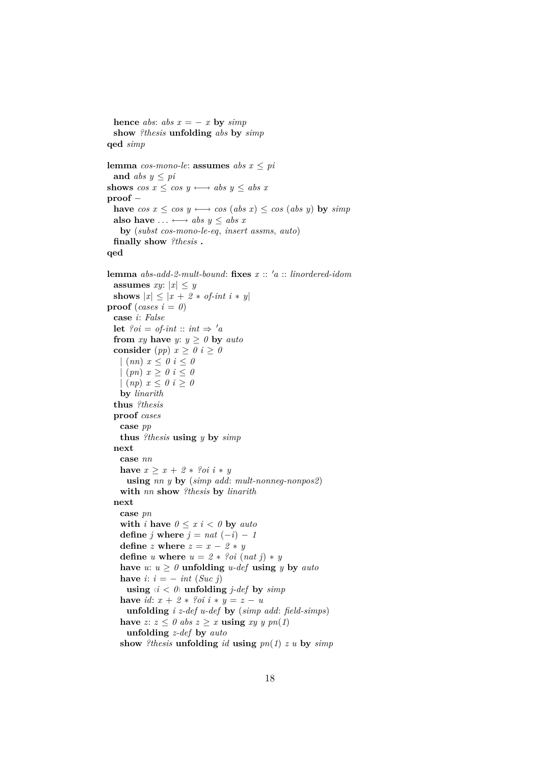```
hence abs: abs x = -x by simpshow ?thesis unfolding abs by simp
qed simp
lemma cos-mono-le: assumes abs\ x \leq piand abs y \leq pishows \cos x \leq \cos y \longleftrightarrow abs y \leq abs xproof −
 have \cos x \leq \cos y \longleftrightarrow \cos (\text{abs } x) \leq \cos (\text{abs } y) by \sinh yalso have \dots \leftrightarrow abs \ y \leq abs \ xby (subst cos-mono-le-eq, insert assms, auto)
 finally show ?thesis .
qed
lemma abs-add-2-mult-bound: fixes x :: 'a :: linordered-idomassumes xy: |x| \leq yshows |x| \leq |x + 2 * \textit{of-int } i * y|proof (cases i = 0)
 case i: False
 let ?oi = of-int :: int \Rightarrow 'afrom xy have y: y \ge 0 by auto
 consider (pp) x \ge 0 i \ge 0|(nn) x \leq 0 i \leq 0(pn) x \geq 0 i \leq 0| (np) x ≤ 0 i ≥ 0
   by linarith
 thus ?thesis
 proof cases
   case pp
   thus ?thesis using y by simp
  next
   case nn
   have x \geq x + 2 * ?oi \, i * yusing nn y by (simp add: mult-nonneg-nonpos2)
   with nn show ?thesis by linarith
 next
   case pn
   with i have 0 \leq x \leq i \leq 0 by auto
   define j where j = nat(-i) - 1define z where z = x - 2 * ydefine u where u = 2 * ?oi (nat j) * y
   have u: u \geq 0 unfolding u-def using y by autohave i: i = -int (Suc j)using \langle i \rangle unfolding j-def by simp
   have id: x + 2 * ?oi i * y = z - uunfolding i z-def u-def by (simp add: field-simps)
   have z: z \leq 0 abs z \geq x using x \in y y \in n(1)unfolding z-def by auto
   show ?thesis unfolding id using pn(1) z u by simp
```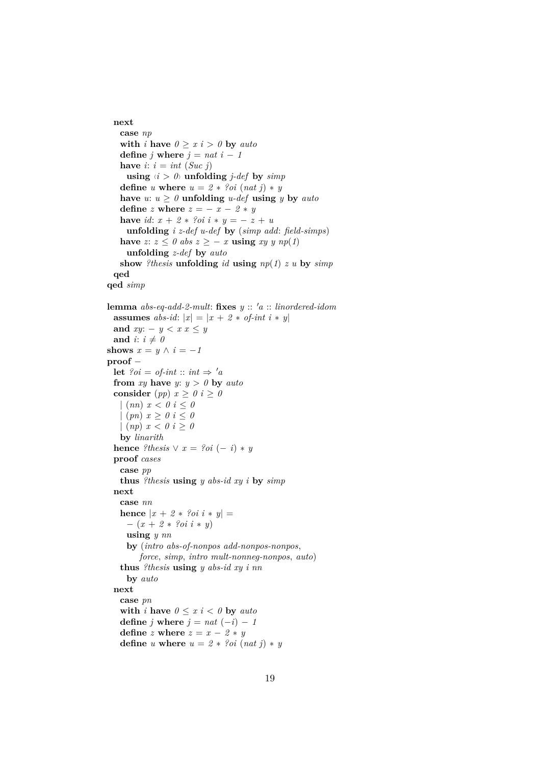```
next
   case np
   with i have 0 \geq x i > 0 by auto
   define j where j = nat i - 1have i: i = int(Suc i)using \langle i \rangle 0 unfolding j-def by simp
   define u where u = 2 * ?oi (nat j) * y
   have u: u \geq 0 unfolding u-def using y by auto
   define z where z = -x - 2 * yhave id: x + 2 * ?oi i * y = -z + uunfolding i z-def u-def by (simp add: field-simps)
   have z: z ≤ 0 abs z ≥ − x using xy y np(1)
    unfolding z-def by auto
   show ?thesis unfolding id using np(1) z u by simp
 qed
qed simp
lemma abs\text{-}eq\text{-}add\text{-}2\text{-}mult: fixes y::'a::\text{ }linordered\text{-}idomassumes abs-id: |x| = |x + 2 * of\text{-}int i * y|and xy: -y < x < yand i: i \neq 0shows x = y \land i = -1proof −
 let ?oi = of-int :: int \Rightarrow 'afrom xy have y: y > 0 by auto
 consider (pp) x \ge 0 i \ge 0| (nn) x < 0 i < 0|(pn) x > 0 i < 0| (np) x < 0 i ≥ 0
   by linarith
 hence ?thesis \vee x = ?oi (-i) * yproof cases
   case pp
   thus ?thesis using y abs-id xy i by simp
 next
   case nn
   hence |x + 2 * ?oi i * y| =− (x + 2 ∗ ?oi i ∗ y)
    using y nn
    by (intro abs-of-nonpos add-nonpos-nonpos,
        force, simp, intro mult-nonneg-nonpos, auto)
   thus ?thesis using y abs-id xy i nn
    by auto
 next
   case pn
   with i have 0 \leq x \leq i \leq 0 by auto
   define i where i = nat(-i) - 1define z where z = x - 2 * ydefine u where u = 2 * ?oi (nat j) * y
```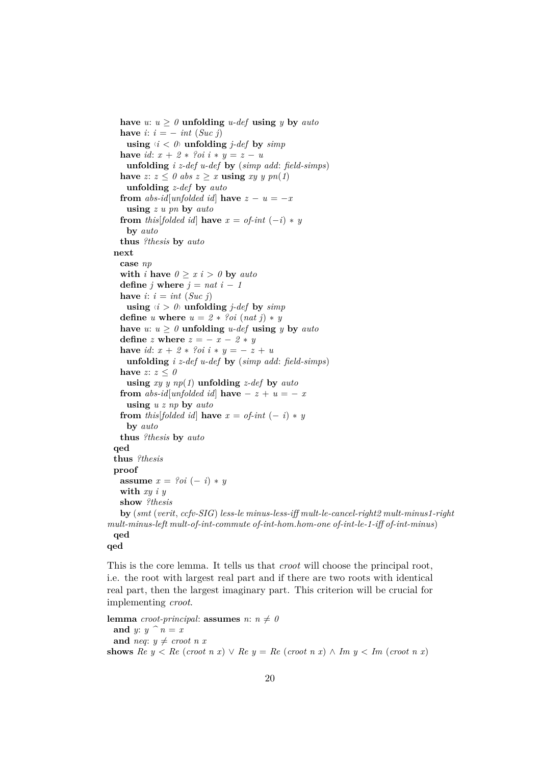have  $u: u \geq 0$  **unfolding**  $u$ -def **using**  $y$  by  $auto$ **have**  $i: i = -int (Suc j)$ **using**  $\langle i \rangle$  to **unfolding** *j-def* by *simp* **have** *id*:  $x + 2 * ?oi$   $i * y = z - u$ **unfolding** *i z-def u-def* **by** (*simp add*: *field-simps*) have  $z: z \leq 0$  abs  $z \geq x$  **using**  $xy \, y \, pn(1)$ **unfolding** *z-def* **by** *auto* **from** *abs-id*[*unfolded id*] **have**  $z - u = -x$ **using** *z u pn* **by** *auto* **from** *this*[*folded id*] **have**  $x = of\text{-}int (-i) * y$ **by** *auto* **thus** *?thesis* **by** *auto* **next case** *np* **with** *i* **have**  $0 \geq x$  *i*  $> 0$  **by** *auto* **define**  $j$  **where**  $j = nat$   $i - 1$ **have**  $i: i = int(Suc j)$ **using**  $\langle i \rangle$  0 **unfolding** *j-def* by *simp* **define** *u* **where**  $u = 2 * ?oi$  (*nat j*) \* *y* have  $u: u \geq 0$  **unfolding**  $u$ -def **using**  $y$  by  $auto$ **define**  $z$  **where**  $z = -x - 2 * y$ **have** *id*:  $x + 2 * ?oi$  *i*  $* y = -z + u$ **unfolding** *i z-def u-def* **by** (*simp add*: *field-simps*) have  $z: z \leq 0$ **using** *xy y np*(*1*) **unfolding** *z-def* **by** *auto* **from** *abs-id*[*unfolded id*] **have** − *z* + *u* = − *x* **using** *u z np* **by** *auto* **from** *this*[*folded id*] **have**  $x = of\text{-}int (-i) * y$ **by** *auto* **thus** *?thesis* **by** *auto* **qed thus** *?thesis* **proof assume**  $x = ?oi (-i) * y$ **with** *xy i y* **show** *?thesis* **by** (*smt* (*verit*, *ccfv-SIG*) *less-le minus-less-iff mult-le-cancel-right2 mult-minus1-right mult-minus-left mult-of-int-commute of-int-hom*.*hom-one of-int-le-1-iff of-int-minus*) **qed**

**qed**

This is the core lemma. It tells us that *croot* will choose the principal root, i.e. the root with largest real part and if there are two roots with identical real part, then the largest imaginary part. This criterion will be crucial for implementing *croot*.

```
lemma croot-principal: assumes n: n \neq 0and y: y \cap n = xand neq: y \neq croot \, n \, xshows \text{Re } y < \text{Re } (\text{croot } n x) \vee \text{Re } y = \text{Re } (\text{croot } n x) \wedge \text{Im } y < \text{Im } (\text{croot } n x)
```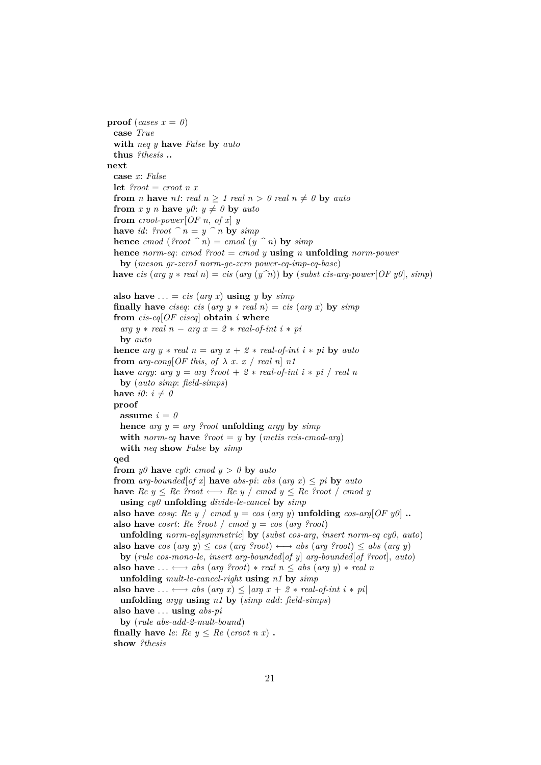**proof** (*cases*  $x = 0$ ) **case** *True* **with** *neq y* **have** *False* **by** *auto* **thus** *?thesis* **.. next case** *x*: *False* **let**  $\ell$ *root* = *croot n x* **from** *n* **have** *n1*: *real*  $n > 1$  *real*  $n > 0$  *real*  $n \neq 0$  **by** *auto* **from** *x y n* **have**  $y0: y \neq 0$  **by** *auto* **from**  $\text{croot-power}[\text{OF } n, \text{ of } x]$  *y* **have** *id*: *?root*  $\hat{n} = y \hat{n}$  **by** *simp* **hence**  $\text{cmod}$  (?root  $\hat{n}$ ) =  $\text{cmod}$  ( $y \hat{n}$ ) **by**  $\text{simp}$ **hence** *norm-eq*: *cmod ?root* = *cmod y* **using** *n* **unfolding** *norm-power* **by** (*meson gr-zeroI norm-ge-zero power-eq-imp-eq-base*) **have** *cis* (*arg*  $y * real n$ ) = *cis* (*arg*  $(y^n n)$ ) **by** (*subst cis-arg-power*[*OF y0*], *simp*) also have  $\ldots = cis (arg x)$  **using** *y* by *simp* **finally have** *ciseq*: *cis* (*arg y*  $*$  *real n*) = *cis* (*arg x*) by *simp* **from** *cis-eq*[*OF ciseq*] **obtain** *i* **where**  $arg y * real n - arg x = 2 * real-of-int i * pi$ **by** *auto* **hence** *arg*  $y * real \, n = arg \, x + 2 * real-of-int \, i * pi$  **by** *auto* **from**  $arg\text{-}cong[OF this, of \lambda x. x / real n] n1$ **have** *argy*: *arg y* = *arg ?root* + 2 \* *real-of-int i* \* *pi* / *real n* **by** (*auto simp*: *field-simps*) **have**  $i0: i \neq 0$ **proof assume**  $i = 0$ **hence**  $\arg y = \arg \text{Proof}$  **unfolding**  $\arg y$  **by**  $\sinh y$ **with** *norm-eq* **have**  $?root = y$  **by** (*metis rcis-cmod-arg*) **with** *neq* **show** *False* **by** *simp* **qed from**  $y\theta$  **have**  $cy\theta$ :  $cm\text{ }cd\text{ }y > \theta$  **by**  $auto$ **from** *arg-bounded*[*of x*] **have** *abs-pi*: *abs* (*arg x*)  $\leq$  *pi* **by** *auto* **have**  $Re\ y \leq Re\$ ?root  $\longleftrightarrow Re\ y \text{ / } c \text{ mod } y \leq Re\$ ?root / cmod y **using** *cy0* **unfolding** *divide-le-cancel* **by** *simp* **also have** *cosy: Re y* / *cmod y* = *cos* (*arg y*) **unfolding** *cos-arg*[ $OF$ *y0*] **.. also have** *cosrt*: *Re ?root* / *cmod y* = *cos* (*arg ?root*) **unfolding** *norm-eq*[*symmetric*] **by** (*subst cos-arg*, *insert norm-eq cy0*, *auto*) **also have**  $cos (arg y) ≤ cos (arg *Proof*) ← → abs (arg *Proof*) ≤ abs (arg y)$ **by** (*rule cos-mono-le*, *insert arg-bounded*[*of y*] *arg-bounded*[*of ?root*], *auto*) **also have**  $\dots \leftrightarrow abs$  (arg ?root)  $*$  real  $n \leq abs$  (arg y)  $*$  real n **unfolding** *mult-le-cancel-right* **using** *n1* **by** *simp* **also have**  $\dots \leftrightarrow abs$  (*arg x*) < |*arg x* + 2 \* *real-of-int i* \* *pi*| **unfolding** *argy* **using** *n1* **by** (*simp add*: *field-simps*) **also have** . . . **using** *abs-pi* **by** (*rule abs-add-2-mult-bound*) **finally have** *le:*  $Re \, y \leq Re \, (c \, root \, n \, x)$ . **show** *?thesis*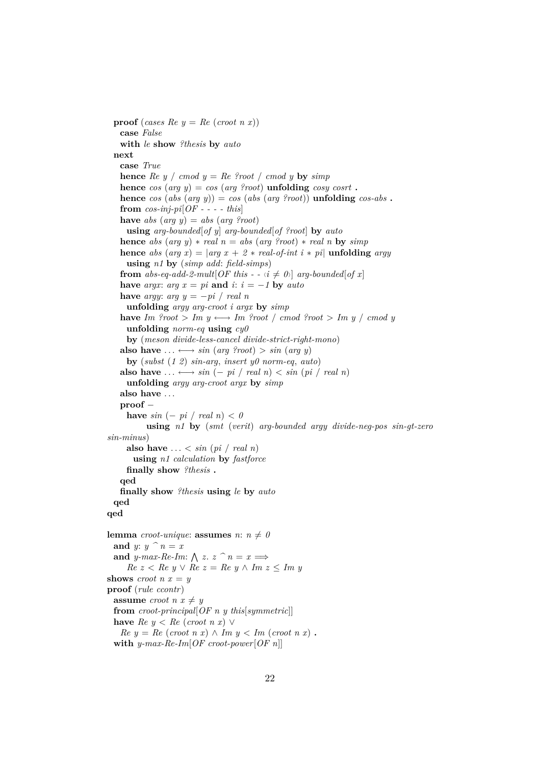**proof** (*cases Re*  $y = Re$  (*croot n x*)) **case** *False* **with** *le* **show** *?thesis* **by** *auto* **next case** *True* **hence**  $\text{Re } y \neq \text{mod } y = \text{Re } \text{Proof } / \text{cmod } y$  **by**  $\text{sim } y$ **hence**  $\cos$  ( $\arg y$ ) =  $\cos$  ( $\arg \varphi$  *cosy* **cosist . hence** *cos* (*abs* (*arg y*)) = *cos* (*abs* (*arg ?root*)) **unfolding** *cos-abs* **. from** *cos-inj-pi*[*OF - - - - this*] **have** *abs* (*arg y*) = *abs* (*arg ?root*) **using** *arg-bounded*[*of y*] *arg-bounded*[*of ?root*] **by** *auto* **hence** *abs* (*arg y*)  $*$  *real*  $n = abs$  (*arg ?root*)  $*$  *real*  $n$  **by**  $simp$ **hence** *abs* (*arg x*) =  $|arg x + 2 * real-of-int i * pi|$  **unfolding** *argy* **using** *n1* **by** (*simp add*: *field-simps*) **from** *abs-eq-add-2-mult*[*OF this - -*  $\langle i \neq 0 \rangle$ ] *arg-bounded*[*of x*] **have** *argx*: *arg*  $x = pi$  **and**  $i$ :  $i = -1$  **by** *auto* **have** *argy*:  $arg y = -pi / real n$ **unfolding** *argy arg-croot i argx* **by** *simp* **have**  $Im \space \text{Proof} > Im \space y \longleftrightarrow Im \space \text{Proof} / \space \text{cmod} \space \text{Proof} > Im \space y / \space \text{cmod} \space y$ **unfolding** *norm-eq* **using** *cy0* **by** (*meson divide-less-cancel divide-strict-right-mono*) **also have**  $\dots \leftrightarrow \sin(\arg \varphi \text{root}) > \sin(\arg \varphi)$ **by** (*subst* (*1 2*) *sin-arg*, *insert y0 norm-eq*, *auto*) also have  $\dots \leftrightarrow \sin(-pi / \text{ real } n) \lt \sin(\text{pi} / \text{ real } n)$ **unfolding** *argy arg-croot argx* **by** *simp* **also have** . . . **proof** − **have**  $sin(-pi)/real(n) < 0$ **using** *n1* **by** (*smt* (*verit*) *arg-bounded argy divide-neg-pos sin-gt-zero sin-minus*) also have  $\ldots$  < *sin* (*pi* / *real n*) **using** *n1 calculation* **by** *fastforce* **finally show** *?thesis* **. qed finally show** *?thesis* **using** *le* **by** *auto* **qed qed lemma** *croot-unique*: **assumes**  $n: n \neq 0$ **and** *y*:  $y \cap n = x$ and *y-max-Re-Im:*  $\bigwedge z$ .  $z \cap n = x \Longrightarrow$ *Re z* < *Re y* ∨ *Re z* = *Re y* ∧ *Im z* ≤ *Im y* **shows** *croot*  $n x = y$ **proof** (*rule ccontr*) **assume** *croot*  $n x \neq y$ **from** *croot-principal*[*OF n y this*[*symmetric*]] **have**  $Re\ u \leq Re\ (croot\ n\ x) \ \vee$  $Re y = Re (croot n x) \wedge Im y < Im (croot n x)$ . **with** *y-max-Re-Im*[*OF croot-power*[*OF n*]]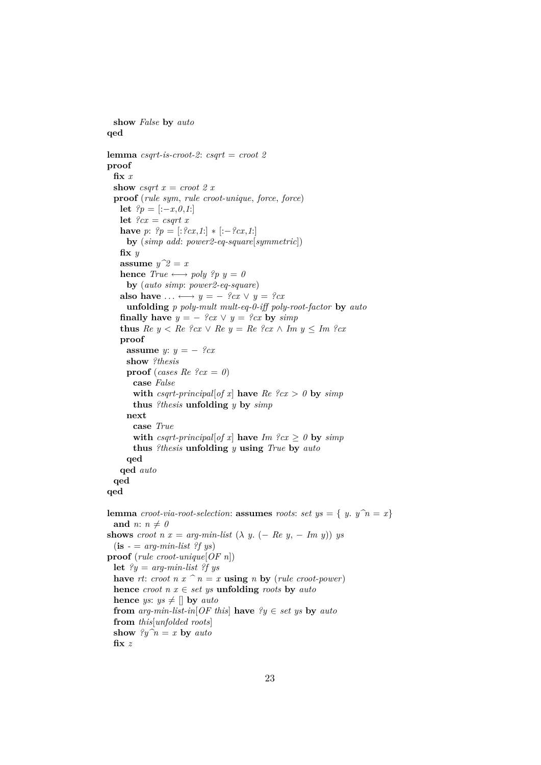```
show False by auto
qed
lemma csqrt-is-croot-2: csqrt = croot 2
proof
  fix x
  show csqrt x = croot 2 xproof (rule sym, rule croot-unique, force, force)
    let ?p = [:−x,0,1:]
    let ?cx = csqrt xhave p: \, {}^{\circ}p = [:{}^{\circ}cx,1:{}]\, * [:-{}^{\circ}cx,1:{}]by (simp add: power2-eq-square[symmetric])
    fix y
    assume y^2 = xhence True \longleftrightarrow poly ?p y = 0by (auto simp: power2-eq-square)
    also have \dots \leftrightarrow y = -\ \frac{9}{x}x \vee y = \frac{9}{x}cxunfolding p poly-mult mult-eq-0-iff poly-root-factor by auto
    finally have y = -\frac{9}{2}cx \lor y = \frac{9}{2}cx by \text{sim } pthus Re\ y \leq Re\ \ell cx \vee Re\ y = Re\ \ell cx \wedge Im\ y \leq Im\ \ell cxproof
      assume y: y = -\degree{cx}show ?thesis
      proof (cases Re \text{?} c x = 0)
         case False
         with csqrt-principal[of x] have Re\ \ell cx > 0 by simpthus ?thesis unfolding y by simp
      next
         case True
         with csqrt-principal[of x] have Im \space ?cx \geq 0 by simpthus ?thesis unfolding y using True by auto
      qed
    qed auto
  qed
qed
lemma croot-via-root-selection: assumes roots: set ys = \{ y, y \in \mathbb{R} \}and n: n \neq 0shows croot n x = arg-min-list (\lambda y. (-Re y, - Im y)) ys
  (i\mathbf{s} - \mathbf{s} - \mathbf{s} - \mathbf{s} - \mathbf{s} - \mathbf{s} - \mathbf{s} - \mathbf{s} - \mathbf{s} - \mathbf{s} - \mathbf{s} - \mathbf{s} - \mathbf{s} - \mathbf{s} - \mathbf{s} - \mathbf{s} - \mathbf{s} - \mathbf{s} - \mathbf{s} - \mathbf{s} - \mathbf{s} - \mathbf{s} - \mathbf{s} - \mathbf{s} - \mathbf{s} - \mathbf{s} - \mathbf{s} - \mathbf{s} - \mathbf{s} - \mathbf{s} - \mathbf{s} - \mathbf{s} - \mathbf{s} - \mathbf{s} - \mathbf{s} - \mathbf{s} - \mathbfproof (rule croot-unique[OF n])
  let ?y = arg-min-list ?f ys
  have rt: croot n x \, \hat{\,} n = x using n by (rule croot-power)
  hence croot n x \in set ys unfolding roots by auto
  hence ys: ys \neq \parallel by autofrom arg-min-list-in[OF this] have ?y \in set ys by auto
  from this[unfolded roots]
  show \partial y \hat{n} = x by autofix z
```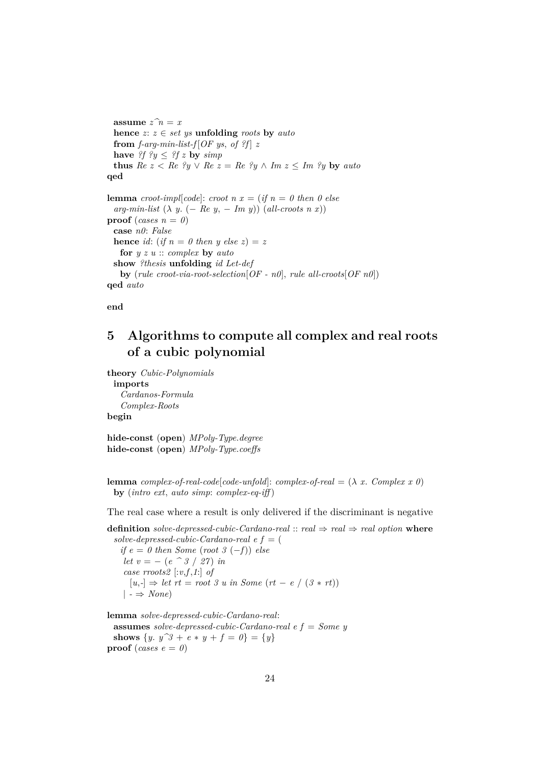**assume**  $z \hat{n} = x$ **hence**  $z: z \in set$  *ys* **unfolding** *roots* **by**  $auto$ **from** *f-arg-min-list-f* [*OF ys, of ?f*] *z* **have**  $?f$   $?y \leq ?f$  **z by**  $simp$ **thus**  $Re\ z \leq Re\ y \vee Re\ z = Re\ y \wedge Im\ z \leq Im\ y$  **by** auto **qed lemma** *croot-impl*[*code*]: *croot*  $n x = (if n = 0 then 0 else)$  $arg-min-list \ (\lambda \ y. \ (- \ Re \ y, - \ Im \ y)) \ (all-*cross* \ n \ x))$ **proof** (*cases*  $n = 0$ ) **case** *n0*: *False* **hence** *id*: (*if*  $n = 0$  *then y else z*) = *z* **for** *y z u* :: *complex* **by** *auto* **show** *?thesis* **unfolding** *id Let-def* **by** (*rule croot-via-root-selection*[*OF - n0*], *rule all-croots*[*OF n0*]) **qed** *auto*

**end**

# <span id="page-23-0"></span>**5 Algorithms to compute all complex and real roots of a cubic polynomial**

**theory** *Cubic-Polynomials* **imports** *Cardanos-Formula Complex-Roots* **begin**

**hide-const** (**open**) *MPoly-Type*.*degree* **hide-const** (**open**) *MPoly-Type*.*coeffs*

**lemma** *complex-of-real-code*[*code-unfold*]: *complex-of-real* =  $(\lambda x.$  *Complex x 0*) **by** (*intro ext*, *auto simp*: *complex-eq-iff* )

The real case where a result is only delivered if the discriminant is negative

**definition** *solve-depressed-cubic-Cardano-real* ::  $real \Rightarrow real \Rightarrow real$  *option* where  $solve-depressed-cubic-Cardano-real e f = ($ 

 $if e = 0 then Some (root 3 (-f)) else$ *let*  $v = - (e^{\hat{\theta}}/2) / 27$  *in case rroots2* [:*v*,*f*,*1*:] *of*  $[u, \cdot] \Rightarrow \text{let } rt = \text{root } 3 \text{ u in } \text{Some } (rt - e \mid (3 * rt))$  $| \rightarrow \text{None} \rangle$ 

**lemma** *solve-depressed-cubic-Cardano-real*: **assumes** *solve-depressed-cubic-Cardano-real e f* = *Some y* **shows**  $\{y, y^{\hat{}}3 + e * y + f = 0\} = \{y\}$ **proof** (*cases e* =  $\theta$ )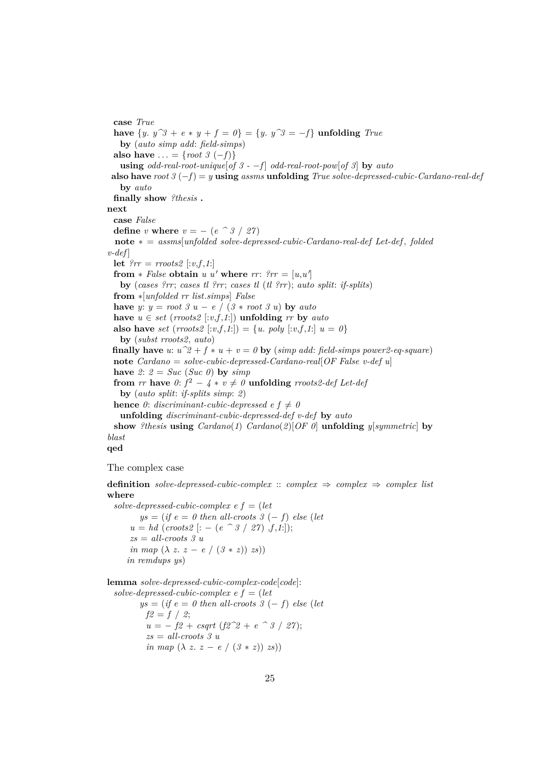**case** *True* **have**  $\{y. y^3 + e * y + f = 0\} = \{y. y^3 = -f\}$  **unfolding** *True* **by** (*auto simp add*: *field-simps*) **also have** ... = {*root 3* (−*f*)} **using** *odd-real-root-unique*[*of 3 - -f] <i>odd-real-root-pow*[*of 3*] **by** *auto* **also have** *root 3* (−*f*) = *y* **using** *assms* **unfolding** *True solve-depressed-cubic-Cardano-real-def* **by** *auto* **finally show** *?thesis* **. next case** *False* **define** *v* **where**  $v = - (e \cap 3 \mid 27)$ **note** ∗ = *assms*[*unfolded solve-depressed-cubic-Cardano-real-def Let-def* , *folded*  $v$ -def **let**  $?rr = \text{rroots2}$  [:*v*,*f*,*1*:] from  $*$  *False* obtain *u u'* where  $rr:$   $?rr = [u, u']$ **by** (*cases ?rr*; *cases tl ?rr*; *cases tl* (*tl ?rr*); *auto split*: *if-splits*) **from** ∗[*unfolded rr list*.*simps*] *False* **have** *y*:  $y = root 3 u - e / (3 * root 3 u)$  **by** *auto* **have**  $u \in set$  (*rroots2* [:*v*,*f*,*1*:]) **unfolding** *rr* **by** *auto* **also have** *set* (*rroots2* [:*v*,*f*,*1*:]) = {*u*. *poly* [:*v*,*f*,*1*:]  $u = 0$ } **by** (*subst rroots2*, *auto*) **finally have** *u*:  $u^2 + f * u + v = 0$  **by** (*simp add: field-simps power2-eq-square*) **note** *Cardano* = *solve-cubic-depressed-Cardano-real*[*OF False v-def u*] have 2:  $2 = Succ(Suc 0)$  by  $simp$ **from** *rr* **have**  $0: f^2 - 4 * v \neq 0$  **unfolding** *rroots2-def Let-dej* **by** (*auto split*: *if-splits simp*: *2*) **hence** 0: *discriminant-cubic-depressed e f*  $\neq$  0 **unfolding** *discriminant-cubic-depressed-def v-def* **by** *auto* **show** *?thesis* **using** *Cardano*(*1*) *Cardano*(*2*)[*OF 0*] **unfolding** *y*[*symmetric*] **by** *blast* **qed**

The complex case

**definition** *solve-depressed-cubic-complex* :: *complex*  $\Rightarrow$  *complex*  $\Rightarrow$  *complex list* **where**

*solve-depressed-cubic-complex e f* = (*let*  $ys = (if e = 0 then all-*coroots* 3 (-f) else (let)$  $u = hd$  (*croots2* |: – (*e* ^ 3 / 27) ,*f*,*1*:]); *zs* = *all-croots 3 u in map*  $(\lambda z. z - e / (3 * z))$  *zs*)) *in remdups ys*)

**lemma** *solve-depressed-cubic-complex-code*[*code*]: *solve-depressed-cubic-complex e f* = (*let*  $ys = (if e = 0 then all-*cross* 3 (-f) else (let$  $f2 = f / 2$ ;  $u = - f2 + csqrt (f2^2 + e^2) / 27$ ; *zs* = *all-croots 3 u in map*  $(\lambda z. z - e / (3 * z)) zs)$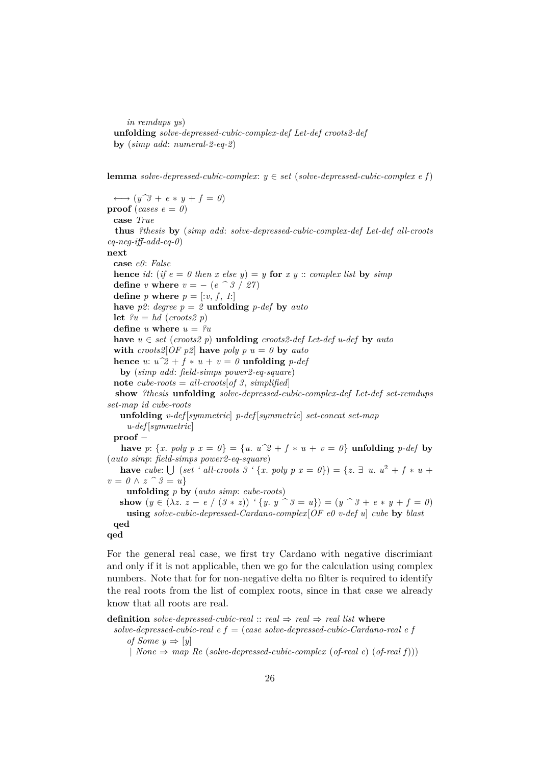*in remdups ys*) **unfolding** *solve-depressed-cubic-complex-def Let-def croots2-def* **by** (*simp add*: *numeral-2-eq-2*)

**lemma** *solve-depressed-cubic-complex*: *y* ∈ *set* (*solve-depressed-cubic-complex e f*)

 $\longleftrightarrow$   $(y^{\frown}3 + e * y + f = 0)$ **proof** (*cases e* =  $\theta$ ) **case** *True* **thus** *?thesis* **by** (*simp add*: *solve-depressed-cubic-complex-def Let-def all-croots eq-neg-iff-add-eq-0*) **next case** *e0*: *False* **hence** *id*: (*if*  $e = 0$  *then*  $x$  *else*  $y$ ) =  $y$  **for**  $x$   $y$  :: *complex list* **by** *simp* **define**  $v$  **where**  $v = - (e \cap 3 / 27)$ **define** *p* **where**  $p = \left[ \because v, f, 1 \right]$ **have**  $p2$ : *degree*  $p = 2$  **unfolding**  $p$ -*def* **by**  $auto$ **let**  $?u = hd$  (*croots2 p*) **define** *u* **where**  $u = 2u$ **have**  $u \in set$  (*croots2* p) **unfolding** *croots2-def Let-def u-def* by *auto* **with** *croots2*[*OF p2*] **have** *poly*  $p u = 0$  **by** *auto* **hence** *u*:  $u^2 + f * u + v = 0$  **unfolding** *p-def* **by** (*simp add*: *field-simps power2-eq-square*) **note** *cube-roots* =  $all\text{-}cross[of 3, simplified]$ **show** *?thesis* **unfolding** *solve-depressed-cubic-complex-def Let-def set-remdups set-map id cube-roots* **unfolding** *v-def* [*symmetric*] *p-def* [*symmetric*] *set-concat set-map u-def* [*symmetric*] **proof** − **have**  $p: \{x. \text{ poly } p \ x = 0\} = \{u. \ u^2 + f * u + v = 0\}$  **unfolding**  $p\text{-}def$  **by** (*auto simp*: *field-simps power2-eq-square*) **have** *cube*:  $\bigcup$  (*set* ' *all-croots* 3 ' {*x*. *poly*  $p x = 0$ }) = {*z*.  $\exists u. u^2 + f * u +$  $v = 0 \wedge z$   $\hat{\hspace{0.5cm}}$  3 = *u*} **unfolding** *p* **by** (*auto simp*: *cube-roots*) **show**  $(y \in (\lambda z. z - e / (\beta * z))$  ' $\{y. y \cap \beta = u\}) = (y \cap \beta + e * y + f = 0)$ **using** *solve-cubic-depressed-Cardano-complex*[*OF e0 v-def u*] *cube* **by** *blast* **qed qed**

For the general real case, we first try Cardano with negative discrimiant and only if it is not applicable, then we go for the calculation using complex numbers. Note that for for non-negative delta no filter is required to identify the real roots from the list of complex roots, since in that case we already know that all roots are real.

**definition** *solve-depressed-cubic-real* ::  $real \Rightarrow real \Rightarrow real$  *list* **where** 

```
solve-depressed-cubic-real e f = (case solve-depressed-cubic-Cardano-real e f
   of Some y \Rightarrow [y]
```
| *None* ⇒ *map Re* (*solve-depressed-cubic-complex* (*of-real e*) (*of-real f*)))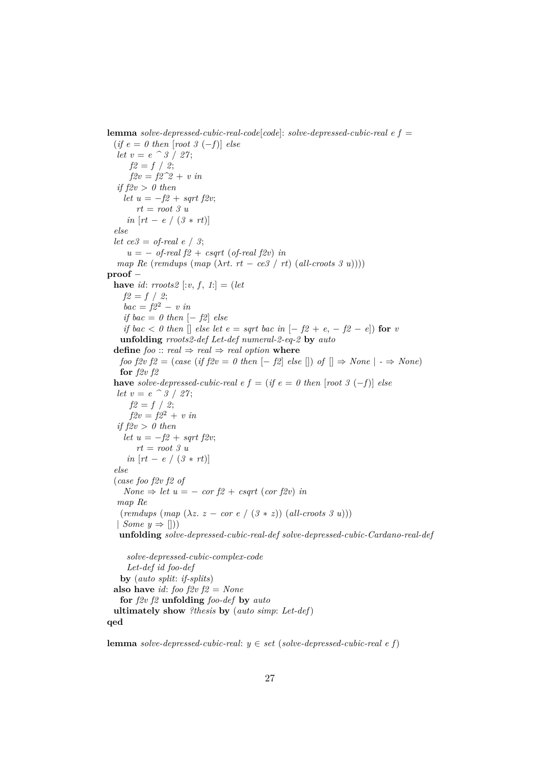**lemma** *solve-depressed-cubic-real-code*[*code*]: *solve-depressed-cubic-real e f* =

 $(if e = 0 then [root 3 (-f)] else$ *let*  $v = e^{\hat{\theta}} 3 / 27$ ;  $f2 = f / 2$ ;  $f2v = f2^2 + v$  *in if f2v* > *0 then let*  $u = -f2 + sqrt f2v$ ; *rt* = *root 3 u in* [*rt* − *e* / (*3* ∗ *rt*)] *else let*  $ce3 = of$ -real  $e / 3$ ;  $u = -$  *of-real f2* + *csqrt* (*of-real f2v*) *in map Re* (*remdups* (*map* ( $\lambda rt$ . *rt* − *ce3* / *rt*) (*all-croots* 3 *u*)))) **proof** − **have** *id*: *rroots2* [:*v*, *f*, *1*:] = (*let*  $f2 = f / 2;$  $bac = f2^2 - v$  *in if bac* =  $\theta$  *then*  $[- \textit{f2}]$  *else if bac*  $\lt$  *0 then*  $\lceil \lceil \ell \rceil$  *else let e* = *sqrt bac in*  $\lceil -\frac{f2}{f2} + e, -\frac{f2}{f2} - e \rceil$  **for** *v* **unfolding** *rroots2-def Let-def numeral-2-eq-2* **by** *auto* **define** *foo* :: *real*  $\Rightarrow$  *real*  $\Rightarrow$  *real option* **where** *foo f2v f2* = (*case* (*if f2v* = 0 *then*  $[-f2]$  *else*  $[$ ) *of*  $[$   $\Rightarrow$  *None*  $|$   $\cdot$   $\Rightarrow$  *None*) **for** *f2v f2* **have** *solve-depressed-cubic-real e f* = (*if e* = 0 *then* [*root* 3 (−*f*)] *else let*  $v = e^{\hat{\theta}} 3 / 27$ ;  $f2 = f / 2;$  $f2v = f2^2 + v \, in$ *if f2v* > *0 then let*  $u = -f2 + sqrt f2v;$ *rt* = *root 3 u in*  $[rt - e / (3 * rt)]$ *else* (*case foo f2v f2 of*  $None \Rightarrow let u = -\frac{cor f2 + csqrt(\cos f2v)}{in}$ *map Re*  $(rendups (map (\lambda z. z - cor e / (3 * z)) (all-*cross 3 u*)))$ | *Some*  $y \Rightarrow$  [])) **unfolding** *solve-depressed-cubic-real-def solve-depressed-cubic-Cardano-real-def*

*solve-depressed-cubic-complex-code Let-def id foo-def* **by** (*auto split*: *if-splits*) **also have** *id*: *foo f2v f2* = *None* **for** *f2v f2* **unfolding** *foo-def* **by** *auto* **ultimately show** *?thesis* **by** (*auto simp*: *Let-def*) **qed**

**lemma** *solve-depressed-cubic-real*: *y* ∈ *set* (*solve-depressed-cubic-real e f*)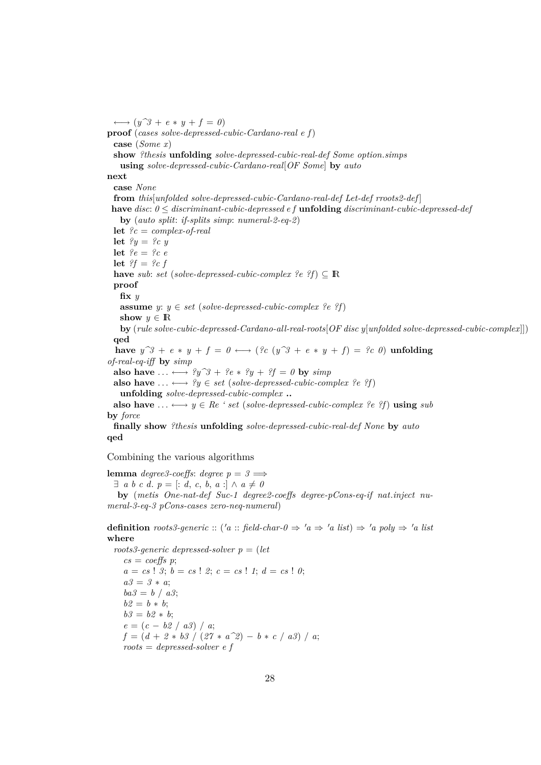$\longleftrightarrow$   $(y^{\frown}3 + e * y + f = 0)$ **proof** (*cases solve-depressed-cubic-Cardano-real e f*) **case** (*Some x*) **show** *?thesis* **unfolding** *solve-depressed-cubic-real-def Some option*.*simps* **using** *solve-depressed-cubic-Cardano-real*[*OF Some*] **by** *auto* **next case** *None* **from** *this*[*unfolded solve-depressed-cubic-Cardano-real-def Let-def rroots2-def* ] **have** *disc*: *0* ≤ *discriminant-cubic-depressed e f* **unfolding** *discriminant-cubic-depressed-def* **by** (*auto split*: *if-splits simp*: *numeral-2-eq-2*) **let** *?c* = *complex-of-real* **let**  $\mathscr{L} y = \mathscr{L} c y$ **let** *?e* = *?c e* **let** *?f* = *?c f* **have** *sub*: *set* (*solve-depressed-cubic-complex ?e ?f*)  $\subset \mathbb{R}$ **proof fix** *y* **assume** *y*:  $y \in set$  (*solve-depressed-cubic-complex ?e ?f*) **show**  $y \in \mathbb{R}$ **by** (*rule solve-cubic-depressed-Cardano-all-real-roots*[*OF disc y*[*unfolded solve-depressed-cubic-complex*]]) **qed** have  $y^3 + e * y + f = 0 \leftrightarrow ($ ?c  $(y^3 + e * y + f) = ?c 0$ ) **unfolding** *of-real-eq-iff* **by** *simp* **also have** ...  $\longleftrightarrow$  ?y^3 + ?e \* ?y + ?f = 0 **by** *simp* **also have**  $\dots \leftrightarrow ?y \in set$  (*solve-depressed-cubic-complex ?e ?f*) **unfolding** *solve-depressed-cubic-complex* **.. also have**  $\ldots \leftrightarrow y \in \mathbb{R}e^y$  *eset* (*solve-depressed-cubic-complex ?e ?f*) **using** *sub* **by** *force* **finally show** *?thesis* **unfolding** *solve-depressed-cubic-real-def None* **by** *auto*

Combining the various algorithms

**qed**

**lemma** *degree3-coeffs*: *degree*  $p = 3 \implies$  $\exists$  *a b c d*, *p* = [: *d*, *c*, *b*, *a* :]  $\wedge$  *a*  $\neq$  *0* 

**by** (*metis One-nat-def Suc-1 degree2-coeffs degree-pCons-eq-if nat*.*inject numeral-3-eq-3 pCons-cases zero-neq-numeral*)

**definition** roots3-generic :: ('a :: field-char- $0 \Rightarrow 'a \Rightarrow 'a$  list)  $\Rightarrow 'a$  poly  $\Rightarrow 'a$  list **where**

*roots3-generic depressed-solver p* = (*let*  $cs = coeffs p;$  $a = cs$  ! 3;  $b = cs$  ! 2;  $c = cs$  ! 1;  $d = cs$  ! 0; *a3* = *3* ∗ *a*;  $ba3 = b / a3;$  $b2 = b * b;$  $b3 = b2 * b;$  $e = (c - b2 / a3) / a;$  $f = (d + 2 * b3 / (27 * a^2) - b * c / a3) / a;$ *roots* = *depressed-solver e f*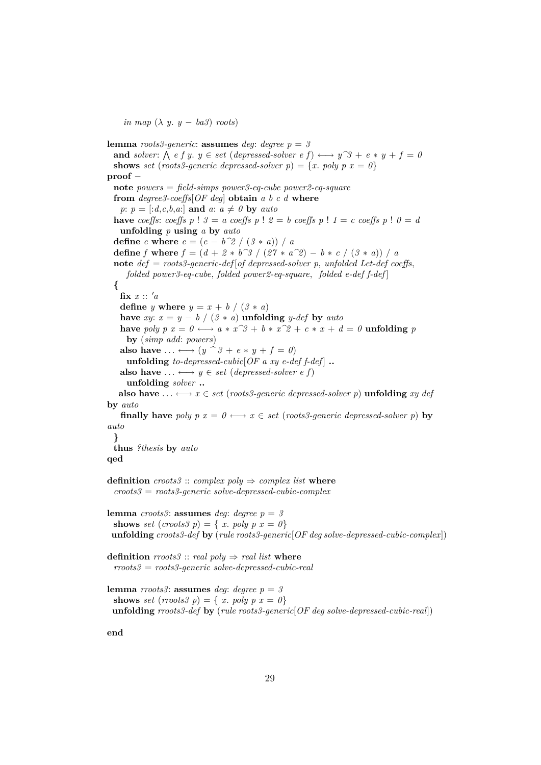*in map*  $(\lambda y. y - ba3)$  *roots*)

**lemma** *roots3-generic*: **assumes** *deg*: *degree p* = *3* **and** solver:  $\bigwedge$  e f y.  $y \in set$  (depressed-solver e f)  $\longleftrightarrow$   $y^3 + e * y + f = 0$ **shows** *set* (*roots3-generic depressed-solver p*) = {*x*. *poly p x* = 0} **proof** − **note** *powers* = *field-simps power3-eq-cube power2-eq-square* **from** *degree3-coeffs*[*OF deg*] **obtain** *a b c d* **where**  $p: p = \lceil :d, c, b, a: \rceil$  and  $a: a \neq 0$  by  $auto$ **have** *coeffs*: *coeffs*  $p$  !  $3 = a$  *coeffs*  $p$  !  $2 = b$  *coeffs*  $p$  !  $1 = c$  *coeffs*  $p$  !  $0 = d$ **unfolding** *p* **using** *a* **by** *auto* **define**  $e$  **where**  $e = (c - b^2)(3 * a) / a$ **define** *f* **where**  $f = (d + 2 * b^3) / (27 * a^2) - b * c / (3 * a) / a$ **note** *def* = *roots3-generic-def* [*of depressed-solver p*, *unfolded Let-def coeffs*, *folded power3-eq-cube*, *folded power2-eq-square*, *folded e-def f-def* ] **{**  $\mathbf{fix}$   $x :: 'a$ **define** *y* **where**  $y = x + b / (3 * a)$ **have** *xy*:  $x = y - b / (3 * a)$  **unfolding** *y-def* **by** *auto* have *poly*  $p x = 0 \leftrightarrow a * x^3 + b * x^2 + c * x + d = 0$  **unfolding**  $p$ **by** (*simp add*: *powers*) **also have** ...  $\longleftrightarrow$   $(y \cap \mathcal{G} + e * y + f = 0)$ **unfolding** *to-depressed-cubic*[ $OF$  *a xy e-def*  $f$ -*def*]  $\ldots$ **also have**  $\dots \longleftrightarrow y \in set$  (*depressed-solver e f*) **unfolding** *solver* **.. also have**  $\ldots \leftrightarrow x \in set$  (*roots3-generic depressed-solver p*) **unfolding** *xy def* **by** *auto* **finally have** *poly p x* =  $0 \leftrightarrow x \in set$  (*roots3-generic depressed-solver p*) **by** *auto* **} thus** *?thesis* **by** *auto* **qed definition**  $\textit{cross3} :: \textit{complex poly} \Rightarrow \textit{complex list where}$ *croots3* = *roots3-generic solve-depressed-cubic-complex* **lemma** *croots3*: **assumes** *deg*: *degree*  $p = 3$ **shows** *set* (*croots3 p*) = { *x*. *poly p*  $x = 0$ } **unfolding** *croots3-def* **by** (*rule roots3-generic*[*OF deg solve-depressed-cubic-complex*])

**definition**  $\text{rroots3} :: \text{real poly} \Rightarrow \text{real list where}$ *rroots3* = *roots3-generic solve-depressed-cubic-real*

```
lemma rroots3: assumes deg: degree p = 3shows set (rroots3 p) = { x. poly p x = 0}
 unfolding rroots3-def by (rule roots3-generic[OF deg solve-depressed-cubic-real])
```
**end**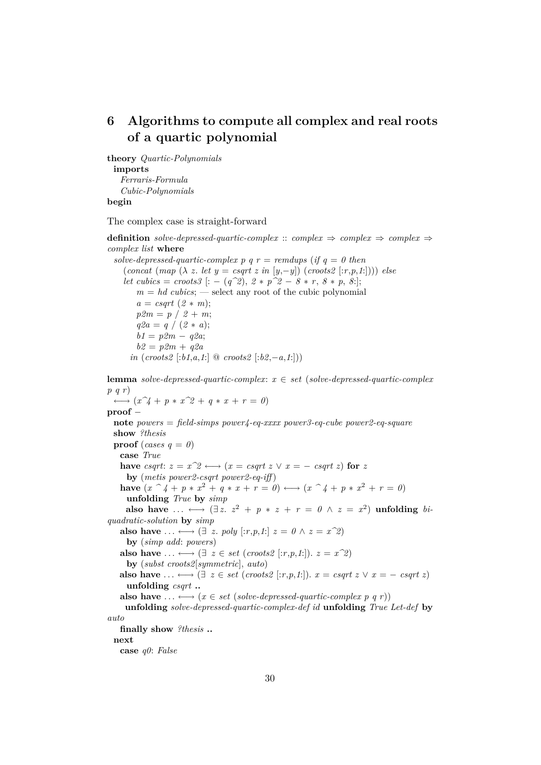# <span id="page-29-0"></span>**6 Algorithms to compute all complex and real roots of a quartic polynomial**

**theory** *Quartic-Polynomials* **imports** *Ferraris-Formula Cubic-Polynomials* **begin**

The complex case is straight-forward

**definition** *solve-depressed-quartic-complex* :: *complex*  $\Rightarrow$  *complex*  $\Rightarrow$  *complex complex list* **where** *solve-depressed-quartic-complex p q r = remdups* (*if q = 0 then*  $(concat \ (map \ (\lambda \ z. \ let \ y = csqrt \ z \ in \ [y, -y]) \ (cross2 \ [r, p, 1]))) \ else$ *let cubics* = *croots3* [: -  $(q^2)$ ,  $2 * p^2 - 8 * r$ ,  $8 * p$ , 8:];

 $m = hd$  *cubics*; — select any root of the cubic polynomial  $a = csqrt(2 * m);$  $p2m = p / 2 + m;$  $q2a = q / (2 * a);$ *b1* = *p2m* − *q2a*;  $b2 = p2m + q2a$ *in* (*croots2* [:*b1*,*a*,*1*:] @ *croots2* [:*b2*,−*a*,*1*:]))

**lemma** *solve-depressed-quartic-complex*: *x* ∈ *set* (*solve-depressed-quartic-complex p q r*)  $\longleftrightarrow$   $(x^2 + p * x^2 + q * x + r = 0)$ 

```
proof −
```
**note** *powers* = *field-simps power4-eq-xxxx power3-eq-cube power2-eq-square* **show** *?thesis* **proof** (*cases*  $q = 0$ ) **case** *True* **have** *csqrt*:  $z = x^2 \leftrightarrow (x = \text{csqrt } x \lor x = - \text{csqrt } x \text{)}$  for z **by** (*metis power2-csqrt power2-eq-iff* ) **have**  $(x \n^2 4 + p * x^2 + q * x + r = 0) \nleftrightarrow (x \n^2 4 + p * x^2 + r = 0)$ **unfolding** *True* **by** *simp*  $\mathbf{a}$ lso have  $\ldots \longleftrightarrow (\exists z. \ z^2 + p * z + r = 0 \land z = x^2)$  unfolding bi*quadratic-solution* **by** *simp* **also have**  $\dots \longleftrightarrow (\exists z. \text{ poly } [:r,p,1:] z = 0 \land z = x^2)$ **by** (*simp add*: *powers*) **also have**  $\dots \longleftrightarrow (\exists z \in set (cross2[:r, p, 1])$ .  $z = x^2$ ) **by** (*subst croots2*[*symmetric*], *auto*) **also have**  $\dots \leftrightarrow (\exists z \in set (cross2[:r, p, 1:])$ .  $x = csqrt z \vee x = - csqrt z)$ **unfolding** *csqrt* **.. also have** . . . ←→ (*x* ∈ *set* (*solve-depressed-quartic-complex p q r*)) **unfolding** *solve-depressed-quartic-complex-def id* **unfolding** *True Let-def* **by** *auto* **finally show** *?thesis* **.. next case** *q0*: *False*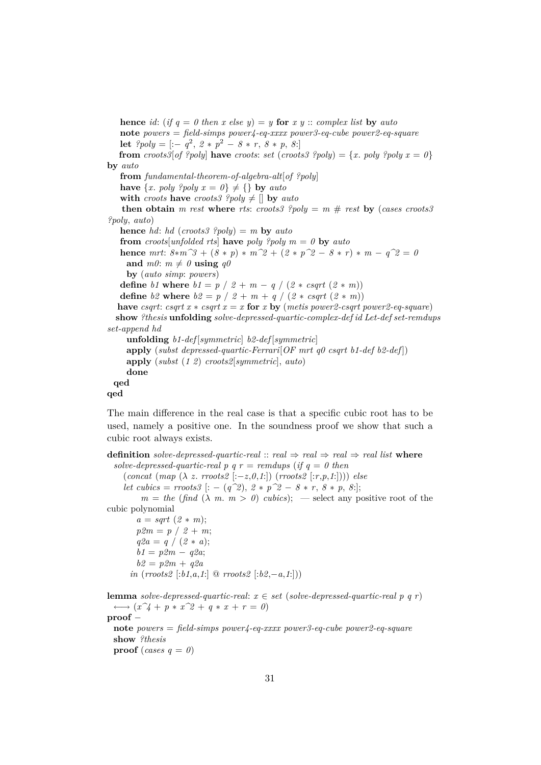**hence** *id*: (*if*  $q = 0$  *then*  $x$  *else*  $y$ ) =  $y$  **for**  $x$   $y$  :: *complex list* **by** *auto* **note** *powers* = *field-simps power4-eq-xxxx power3-eq-cube power2-eq-square* **let**  $?poly = [-q^2, 2 * p^2 - 8 * r, 8 * p, 8!]$ **from**  $\{croots\}$  of ?poly **have**  $\{croots: set(croots?$  ?poly = {*x*.  $poly \text{ and } y \text{ and } x = 0$ } **by** *auto* **from** *fundamental-theorem-of-algebra-alt*[*of ?poly*] **have**  $\{x. \text{poly } ?poly x = 0\} \neq \{\}$  by *auto* **with** *croots* **have** *croots3* ?*poly*  $\neq$  [] **by** *auto* **then obtain** *m rest* **where** *rts*: *croots3 ?poly* =  $m \#$  *rest* **by** (*cases croots3 ?poly*, *auto*) **hence** *hd*: *hd* (*croots3 ?poly*) = *m* **by** *auto* **from** *croots*[*unfolded rts*] **have** *poly ?poly*  $m = 0$  **by**  $auto$ **hence**  $mrt$ :  $8*m^3 + (8*p)*m^2 + (2*p^2 - 8*r)*m - q^2 = 0$ and  $m\theta$ :  $m \neq \theta$  **using**  $q\theta$ **by** (*auto simp*: *powers*) **define** *b1* **where**  $b1 = p / 2 + m - q / (2 * csqrt (2 * m))$ **define** *b*2 **where**  $b2 = p / 2 + m + q / (2 * csqrt (2 * m))$ **have** *csqrt*: *csqrt*  $x * csqrt x = x$  **for**  $x$  **by** (*metis power2-csqrt power2-eq-square*) **show** *?thesis* **unfolding** *solve-depressed-quartic-complex-def id Let-def set-remdups set-append hd* **unfolding** *b1-def* [*symmetric*] *b2-def* [*symmetric*] **apply** (*subst depressed-quartic-Ferrari*[*OF mrt q0 csqrt b1-def b2-def* ]) **apply** (*subst* (*1 2*) *croots2*[*symmetric*], *auto*) **done qed qed**

The main difference in the real case is that a specific cubic root has to be used, namely a positive one. In the soundness proof we show that such a cubic root always exists.

**definition** *solve-depressed-quartic-real* :: *real*  $\Rightarrow$  *real*  $\Rightarrow$  *real ist* **where** *solve-depressed-quartic-real p q r = remdups* (*if q = 0 then* (*concat* (*map* (λ *z*. *rroots2* [:−*z*,*0*,*1*:]) (*rroots2* [:*r*,*p*,*1*:]))) *else let cubics* = *rroots3*  $[: - (q^2), 2 * p^2 - 8 * r, 8 * p, 8:];$  $m = the$  (find ( $\lambda$  *m*.  $m > 0$ ) *cubics*); — select any positive root of the cubic polynomial  $a = sqrt(2 * m);$  $p2m = p / 2 + m$ ;  $q2a = q / (2 * a);$ *b1* = *p2m* − *q2a*;  $b2 = p2m + q2a$ *in* (*rroots2* [:*b1*,*a*,*1*:] @ *rroots2* [:*b2*,−*a*,*1*:])) **lemma** *solve-depressed-quartic-real:*  $x \in set$  (*solve-depressed-quartic-real p q r*)  $\longleftrightarrow$   $(x^2 + p * x^2 + q * x + r = 0)$ **proof** − **note** *powers* = *field-simps power4-eq-xxxx power3-eq-cube power2-eq-square* **show** *?thesis* **proof** (*cases*  $q = 0$ )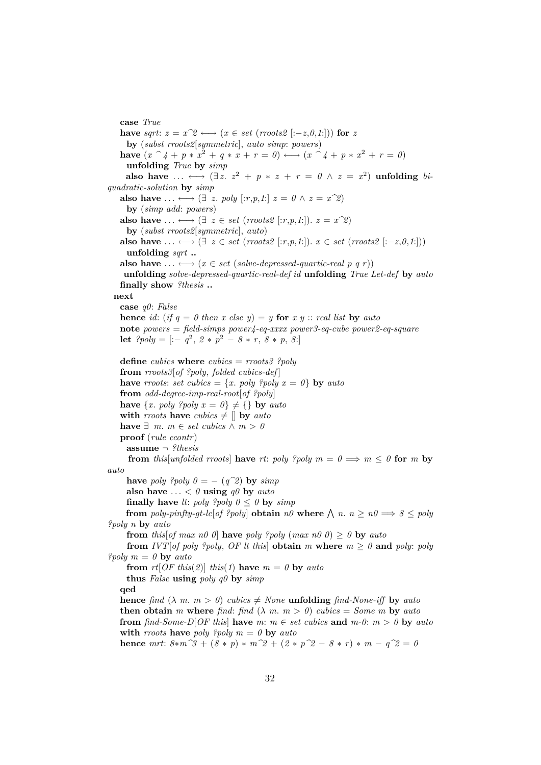**case** *True* **have** *sqrt*:  $z = x^2 \leftrightarrow (x \in set \ (rroots2 \ [:-z,0,1$ )) **for** *z* **by** (*subst rroots2*[*symmetric*], *auto simp*: *powers*) **have**  $(x \n^2 4 + p * x^2 + q * x + r = 0) \nleftrightarrow (x \n^2 4 + p * x^2 + r = 0)$ **unfolding** *True* **by** *simp*  ${\bf also \,\,\, have \,\,\ldots \,\,\longleftrightarrow\,\,} (\exists \,z.\,\, z^2 \,+\, p \,*\, z \,+\, r \,=\, 0\,\wedge\, z \,=\, x^2) \,\,\,{\bf uniformly \,\,\,}$ *quadratic-solution* **by** *simp* **also have**  $\dots \longleftrightarrow (\exists z. \text{poly} [r,p,1] | z = 0 \land z = x^2)$ **by** (*simp add*: *powers*) **also have**  $\dots \longleftrightarrow (\exists z \in set (rroots2 [::r,p,1:]). z = x^2)$ **by** (*subst rroots2*[*symmetric*], *auto*) **also have**  $\ldots \leftrightarrow (\exists z \in set \ (rroots2 \ [r,p,1]) \ x \in set \ (rroots2 \ [r-z,0,1])$ **unfolding** *sqrt* **.. also have**  $\dots \leftrightarrow (x \in set (solve-dependpressed-quartic-real p q r))$ **unfolding** *solve-depressed-quartic-real-def id* **unfolding** *True Let-def* **by** *auto* **finally show** *?thesis* **.. next case** *q0*: *False* **hence** *id*: (*if*  $q = 0$  *then*  $x$  *else*  $y$ ) =  $y$  **for**  $x$   $y$  :: *real list* **by** *auto* **note** *powers* = *field-simps power4-eq-xxxx power3-eq-cube power2-eq-square* **let**  $?poly = [-q^2, 2 * p^2 - 8 * r, 8 * p, 8!]$ **define** *cubics* **where** *cubics* = *rroots3 ?poly* **from** *rroots3*[*of ?poly*, *folded cubics-def* ] **have** *rroots*: *set cubics* = {*x*. *poly ?poly x* =  $\theta$ } **by** *auto* **from** *odd-degree-imp-real-root*[*of ?poly*] **have**  $\{x. \text{poly } \text{?poly } x = 0\} \neq \{\}$  by *auto* **with** *rroots* **have**  $cubics \neq \parallel$  **by**  $auto$ **have**  $∃ m. m ∈ set cubes ∧ m > 0$ **proof** (*rule ccontr*) **assume** ¬ *?thesis* **from** *this*[*unfolded rroots*] **have** *rt*: *poly ?poly*  $m = 0 \implies m \leq 0$  for *m* by *auto* **have** *poly ?poly*  $0 = -(q^2)$  **by** *simp* also have  $\ldots < 0$  **using**  $q\theta$  by *auto* **finally have** *lt*: *poly ?poly*  $0 \le 0$  **by**  $simp$ **from** poly-pinfty-gt-lc[of ?poly] **obtain**  $n\theta$  where  $\bigwedge n.$   $n \geq n\theta \Longrightarrow \theta \leq poly$ *?poly n* **by** *auto* **from** *this*[*of max n0 0*] **have** *poly ?poly* (*max n0 0*)  $> 0$  **by** *auto* **from** *IVT*[*of poly ?poly, OF It this*] **obtain** *m* where  $m \geq 0$  **and** *poly: poly ?poly m* = *0* **by** *auto* **from**  $rt[OF this(2)] this$  *this*(*1*) **have**  $m = 0$  **by**  $auto$ **thus** *False* **using** *poly q0* **by** *simp* **qed hence** *find*  $(\lambda m. m > 0)$  *cubics*  $\neq$  *None* **unfolding** *find-None-iff* **by** *auto* **then obtain** *m* where *find*: *find*  $(\lambda m, m > 0)$  *cubics* = *Some m* by *auto* **from**  $\hat{a} \cdot \hat{b} \cdot \hat{c} = -D \hat{b} \cdot \hat{c}$  **have**  $\hat{b} \cdot \hat{c} = m \hat{c}$  *m*  $\hat{c} \cdot \hat{c} = m \hat{c} \cdot \hat{c}$  **f**  $\hat{c} \cdot \hat{c} = m \hat{c} \cdot \hat{c}$  **h**  $\hat{c} \cdot \hat{c} = m \hat{c} \cdot \hat{c}$  **h with** *rroots* **have** *poly ?poly*  $m = 0$  **by**  $auto$ **hence**  $mrt$ :  $8*m^3 + (8*p)*m^2 + (2*p^2 - 8*r)*m - q^2 = 0$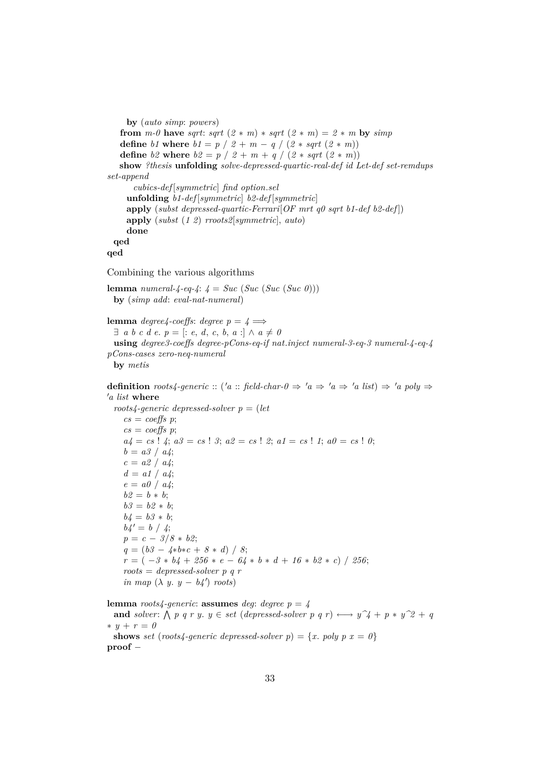```
by (auto simp: powers)
   from m-0 have sqrt: sqrt (2 * m) * sqrt (2 * m) = 2 * m by simp
   define b1 where b1 = p / 2 + m - q / (2 * sqrt (2 * m))define b2 where b2 = p / 2 + m + q / (2 * sqrt (2 * m))show ?thesis unfolding solve-depressed-quartic-real-def id Let-def set-remdups
set-append
      cubics-def [symmetric] find option.sel
     unfolding b1-def [symmetric] b2-def [symmetric]
     apply (subst depressed-quartic-Ferrari[OF mrt q0 sqrt b1-def b2-def ])
    apply (subst (1 2) rroots2[symmetric], auto)
     done
 qed
qed
Combining the various algorithms
lemma numeral-4-eq-4: 4 = Succ(Suc(Suc(Suc(0)))by (simp add: eval-nat-numeral)
lemma degree4-coeffs: degree p = 4 \implies\exists a b c d e. p = [: e, d, c, b, a: ] \land a \neq 0using degree3-coeffs degree-pCons-eq-if nat.inject numeral-3-eq-3 numeral-4-eq-4
pCons-cases zero-neq-numeral
 by metis
definition roots4-generic :: ('a :: field-char-0 \Rightarrow 'a \Rightarrow 'a \Rightarrow 'a list) \Rightarrow 'a poly \Rightarrow0a list where
 roots4-generic depressed-solver p = (let
    cs = coeffs p;cs = coeffs p;
    a_4 = cs ! 4; a_3 = cs ! 3; a_2 = cs ! 2; a_1 = cs ! 1; a_0 = cs ! 0;
    b = a3 / a4;
    c = a2 / a4;
    d = a1 / a4;e = a0 / a4;
    b2 = b * b;b3 = b2 * b;b4 = b3 * b;b4' = b / 4;
    p = c − 3/8 ∗ b2;
    q = (b3 − 4∗b∗c + 8 ∗ d) / 8;
    r = (-3 * b4 + 256 * e - 64 * b * d + 16 * b2 * c) / 256;roots = depressed-solver p q r
    in map (\lambda y. y - b4') roots)
lemma roots4-generic: assumes deg: degree p = 4
```
**and** solver:  $\bigwedge p q r y$ .  $y \in set$  (*depressed-solver*  $p q r$ )  $\longleftrightarrow y \hat{p} + p * y \hat{p} + q$ ∗ *y* + *r* = *0*

**shows** *set* (*roots4-generic depressed-solver p*) =  $\{x. \text{poly } p \ x = 0\}$ **proof** −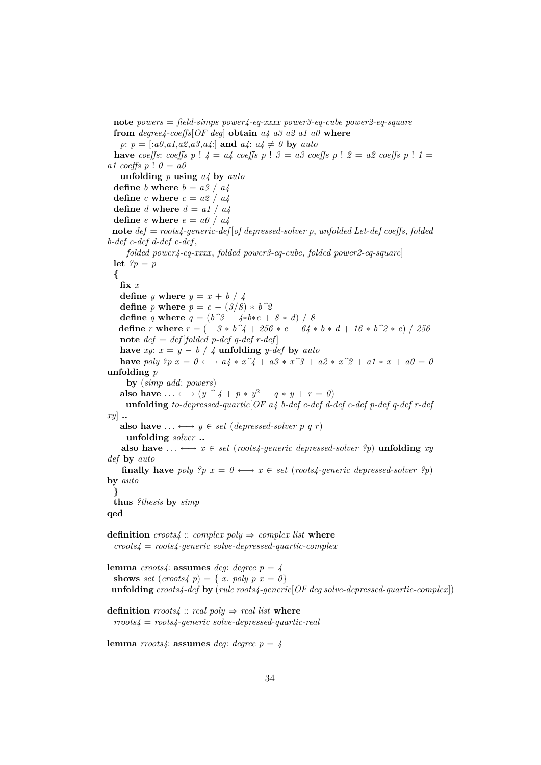**note** *powers* = *field-simps power4-eq-xxxx power3-eq-cube power2-eq-square* **from** *degree4-coeffs*[*OF deg*] **obtain** *a4 a3 a2 a1 a0* **where** *p*:  $p = \left[ :a0, a1, a2, a3, a4: \right]$  and  $a4: a4 \neq 0$  by *auto* **have** *coeffs*: *coeffs*  $p$  !  $4 = a4$  *coeffs*  $p$  !  $3 = a3$  *coeffs*  $p$  !  $2 = a2$  *coeffs*  $p$  !  $1 = a4$ *a1 coeffs p* ! *0* = *a0* **unfolding** *p* **using** *a4* **by** *auto* **define** *b* **where**  $b = a3 / a4$ **define**  $c$  **where**  $c = a2 / a4$ **define** *d* **where** *d* = *a1* / *a4* **define**  $e$  **where**  $e = a0 / a4$ **note** *def* = *roots4-generic-def* [*of depressed-solver p*, *unfolded Let-def coeffs*, *folded b-def c-def d-def e-def* , *folded power4-eq-xxxx*, *folded power3-eq-cube*, *folded power2-eq-square*] **let**  $?p = p$ **{ fix** *x* **define** *y* **where**  $y = x + b / 4$ **define** *p* **where**  $p = c - (3/8) * b^2$ **define** *q* **where**  $q = (b^3 - 4 * b * c + 8 * d) / 8$ **define** *r* **where**  $r = (-3 * b^2 + 256 * e - 64 * b * d + 16 * b^2 * c) / 256$ **note**  $def = def[folded p-def q-def r-def]$ **have** *xy*:  $x = y - b / 4$  **unfolding** *y-def* **by** *auto* **have** poly  ${}^{2}p x = 0 \leftrightarrow a4 * x^2 + a3 * x^3 + a2 * x^2 + a1 * x + a0 = 0$ **unfolding** *p* **by** (*simp add*: *powers*) also have  $\ldots \longleftrightarrow (y \cap 4 + p * y^2 + q * y + r = 0)$ **unfolding** *to-depressed-quartic*[*OF a4 b-def c-def d-def e-def p-def q-def r-def xy*] **.. also have**  $\ldots \leftrightarrow y \in set$  (*depressed-solver* p q r) **unfolding** *solver* **.. also have** ...  $\longleftrightarrow x \in set$  (*roots4-generic depressed-solver ?p*) **unfolding** *xy def* **by** *auto* **finally have** *poly*  $?p$   $x = 0 \leftrightarrow x \in set$  (*roots4-generic depressed-solver*  $?p$ ) **by** *auto* **} thus** *?thesis* **by** *simp* **qed definition**  $\textit{cross4} :: \textit{complex poly} \Rightarrow \textit{complex list where}$ *croots4* = *roots4-generic solve-depressed-quartic-complex* **lemma** *croots4*: **assumes** *deg*: *degree*  $p = 4$ **shows** *set* (*croots4 p*) = { *x*. *poly p*  $x = 0$ } **unfolding** *croots4-def* **by** (*rule roots4-generic*[*OF deg solve-depressed-quartic-complex*]) **definition**  $\text{rroots4}$  ::  $\text{real poly} \Rightarrow \text{real list where}$ *rroots4* = *roots4-generic solve-depressed-quartic-real* **lemma** *rroots4*: **assumes** *deg*: *degree*  $p = 4$